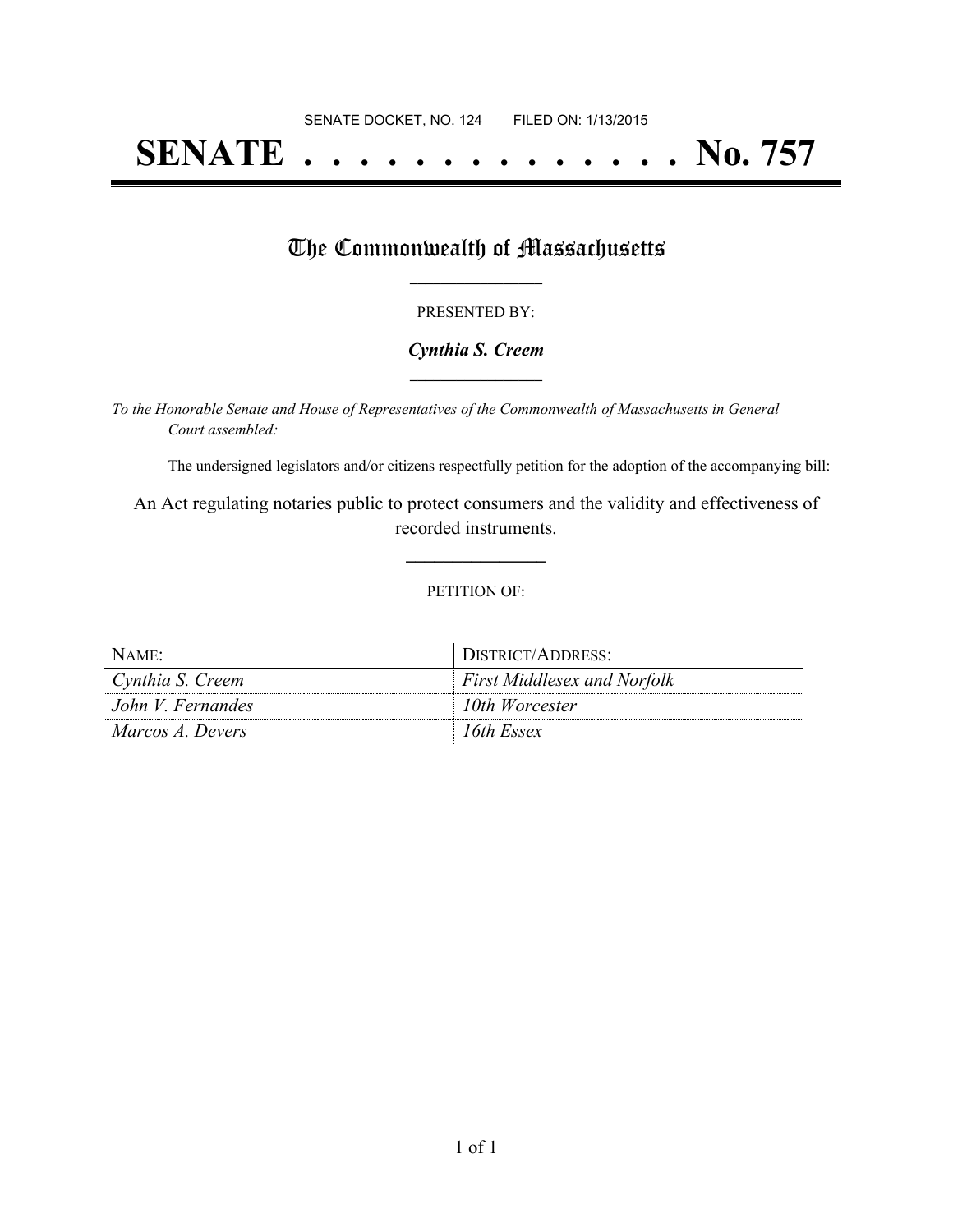# **SENATE . . . . . . . . . . . . . . No. 757**

## The Commonwealth of Massachusetts

## PRESENTED BY:

## *Cynthia S. Creem* **\_\_\_\_\_\_\_\_\_\_\_\_\_\_\_\_\_**

*To the Honorable Senate and House of Representatives of the Commonwealth of Massachusetts in General Court assembled:*

The undersigned legislators and/or citizens respectfully petition for the adoption of the accompanying bill:

An Act regulating notaries public to protect consumers and the validity and effectiveness of recorded instruments.

**\_\_\_\_\_\_\_\_\_\_\_\_\_\_\_**

#### PETITION OF:

| NAME:             | DISTRICT/ADDRESS:                  |
|-------------------|------------------------------------|
| Cynthia S. Creem  | <b>First Middlesex and Norfolk</b> |
| John V. Fernandes | 10th Worcester                     |
| Marcos A. Devers  | 16th Essex                         |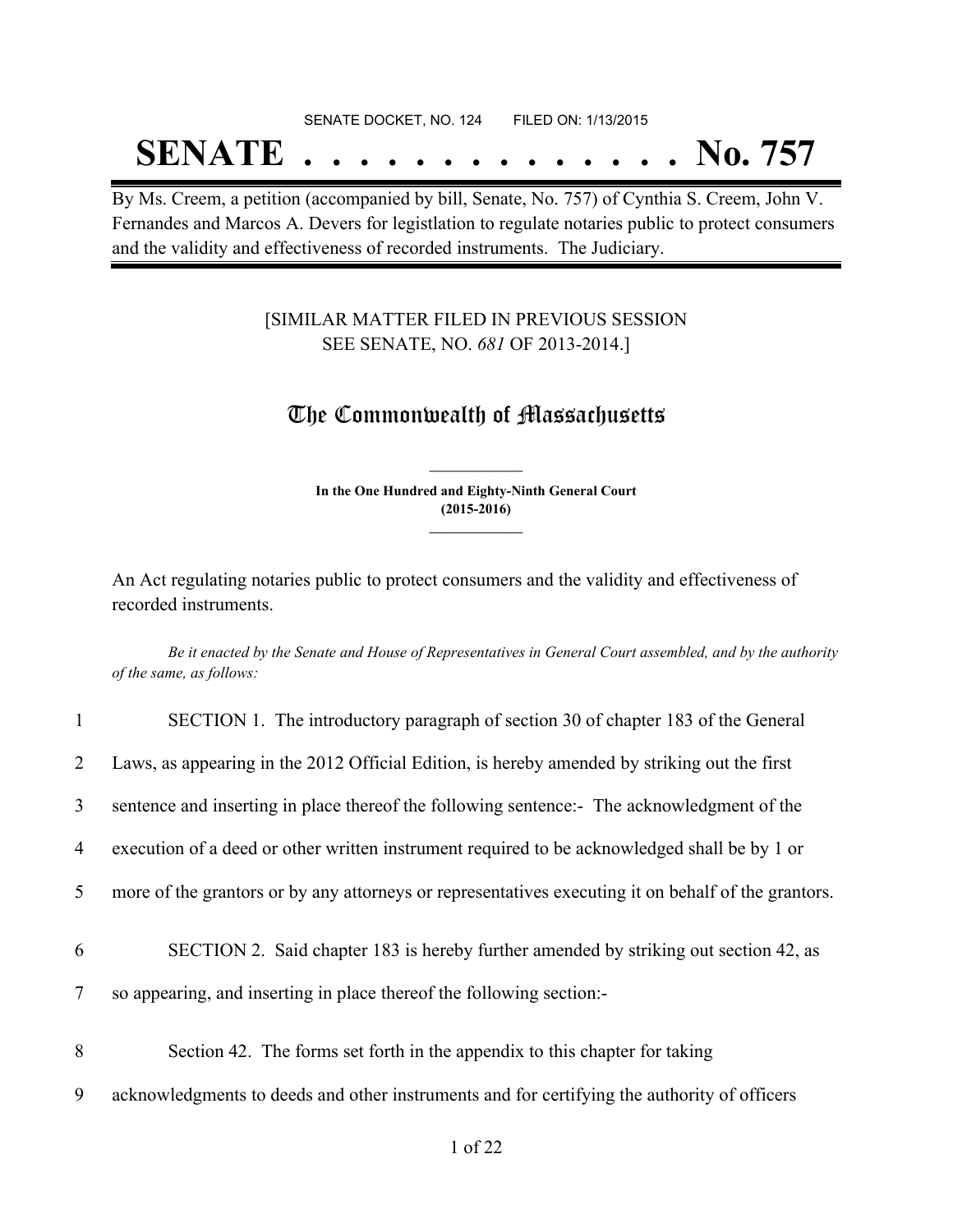## SENATE DOCKET, NO. 124 FILED ON: 1/13/2015

# **SENATE . . . . . . . . . . . . . . No. 757**

By Ms. Creem, a petition (accompanied by bill, Senate, No. 757) of Cynthia S. Creem, John V. Fernandes and Marcos A. Devers for legistlation to regulate notaries public to protect consumers and the validity and effectiveness of recorded instruments. The Judiciary.

## [SIMILAR MATTER FILED IN PREVIOUS SESSION SEE SENATE, NO. *681* OF 2013-2014.]

# The Commonwealth of Massachusetts

**In the One Hundred and Eighty-Ninth General Court (2015-2016) \_\_\_\_\_\_\_\_\_\_\_\_\_\_\_**

**\_\_\_\_\_\_\_\_\_\_\_\_\_\_\_**

An Act regulating notaries public to protect consumers and the validity and effectiveness of recorded instruments.

Be it enacted by the Senate and House of Representatives in General Court assembled, and by the authority *of the same, as follows:*

| $\mathbf{1}$   | SECTION 1. The introductory paragraph of section 30 of chapter 183 of the General                   |
|----------------|-----------------------------------------------------------------------------------------------------|
| $\overline{2}$ | Laws, as appearing in the 2012 Official Edition, is hereby amended by striking out the first        |
| 3              | sentence and inserting in place thereof the following sentence:- The acknowledgment of the          |
| 4              | execution of a deed or other written instrument required to be acknowledged shall be by 1 or        |
| 5              | more of the grantors or by any attorneys or representatives executing it on behalf of the grantors. |
| 6              | SECTION 2. Said chapter 183 is hereby further amended by striking out section 42, as                |
| $\overline{7}$ | so appearing, and inserting in place thereof the following section:-                                |
| 8              | Section 42. The forms set forth in the appendix to this chapter for taking                          |
| 9              | acknowledgments to deeds and other instruments and for certifying the authority of officers         |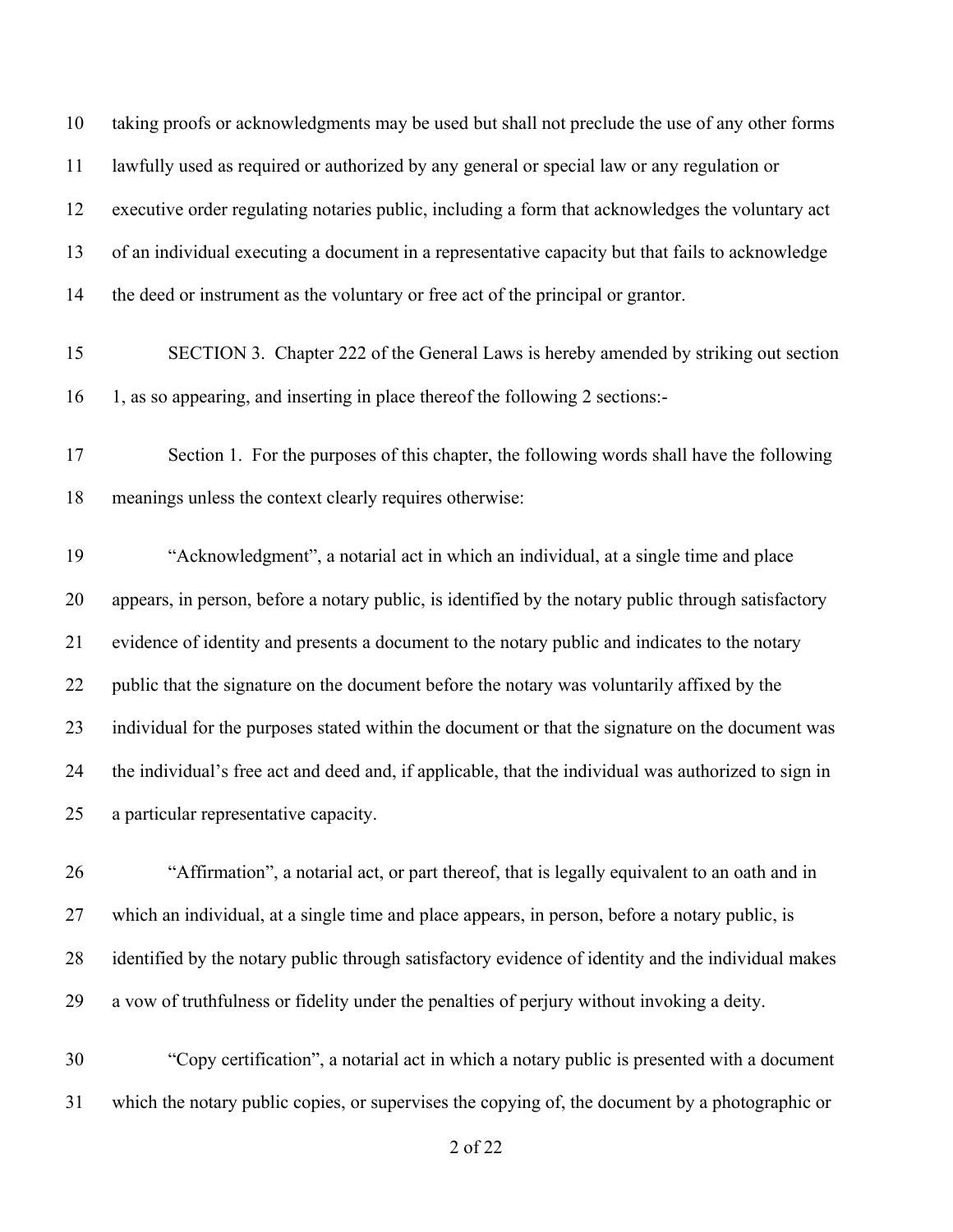taking proofs or acknowledgments may be used but shall not preclude the use of any other forms lawfully used as required or authorized by any general or special law or any regulation or executive order regulating notaries public, including a form that acknowledges the voluntary act of an individual executing a document in a representative capacity but that fails to acknowledge the deed or instrument as the voluntary or free act of the principal or grantor.

- SECTION 3. Chapter 222 of the General Laws is hereby amended by striking out section 1, as so appearing, and inserting in place thereof the following 2 sections:-
- Section 1. For the purposes of this chapter, the following words shall have the following meanings unless the context clearly requires otherwise:

 "Acknowledgment", a notarial act in which an individual, at a single time and place appears, in person, before a notary public, is identified by the notary public through satisfactory evidence of identity and presents a document to the notary public and indicates to the notary 22 public that the signature on the document before the notary was voluntarily affixed by the individual for the purposes stated within the document or that the signature on the document was the individual's free act and deed and, if applicable, that the individual was authorized to sign in a particular representative capacity.

- "Affirmation", a notarial act, or part thereof, that is legally equivalent to an oath and in which an individual, at a single time and place appears, in person, before a notary public, is identified by the notary public through satisfactory evidence of identity and the individual makes a vow of truthfulness or fidelity under the penalties of perjury without invoking a deity.
- "Copy certification", a notarial act in which a notary public is presented with a document which the notary public copies, or supervises the copying of, the document by a photographic or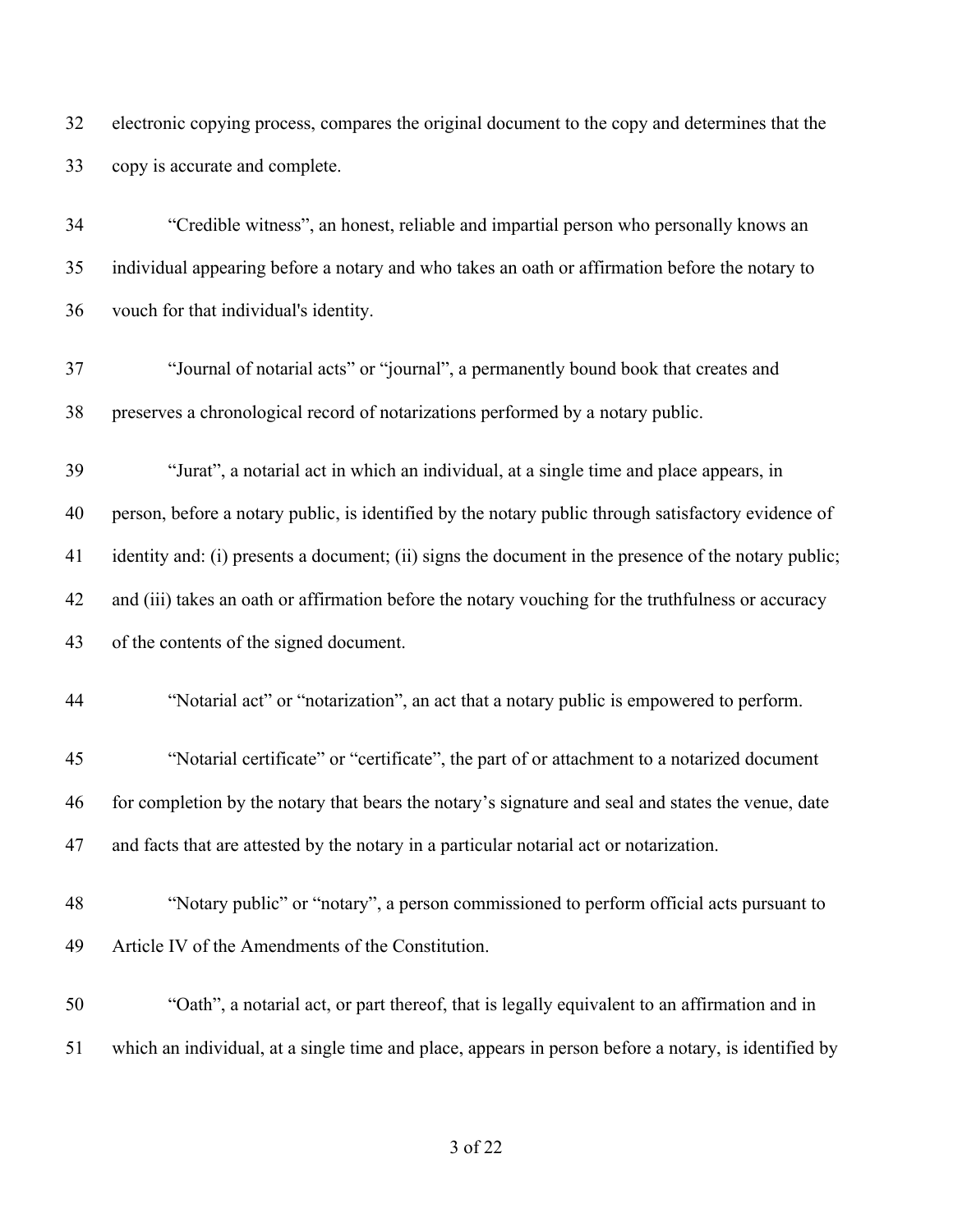electronic copying process, compares the original document to the copy and determines that the copy is accurate and complete.

 "Credible witness", an honest, reliable and impartial person who personally knows an individual appearing before a notary and who takes an oath or affirmation before the notary to vouch for that individual's identity.

 "Journal of notarial acts" or "journal", a permanently bound book that creates and preserves a chronological record of notarizations performed by a notary public.

 "Jurat", a notarial act in which an individual, at a single time and place appears, in person, before a notary public, is identified by the notary public through satisfactory evidence of identity and: (i) presents a document; (ii) signs the document in the presence of the notary public; and (iii) takes an oath or affirmation before the notary vouching for the truthfulness or accuracy of the contents of the signed document.

"Notarial act" or "notarization", an act that a notary public is empowered to perform.

 "Notarial certificate" or "certificate", the part of or attachment to a notarized document for completion by the notary that bears the notary's signature and seal and states the venue, date and facts that are attested by the notary in a particular notarial act or notarization.

- "Notary public" or "notary", a person commissioned to perform official acts pursuant to Article IV of the Amendments of the Constitution.
- "Oath", a notarial act, or part thereof, that is legally equivalent to an affirmation and in which an individual, at a single time and place, appears in person before a notary, is identified by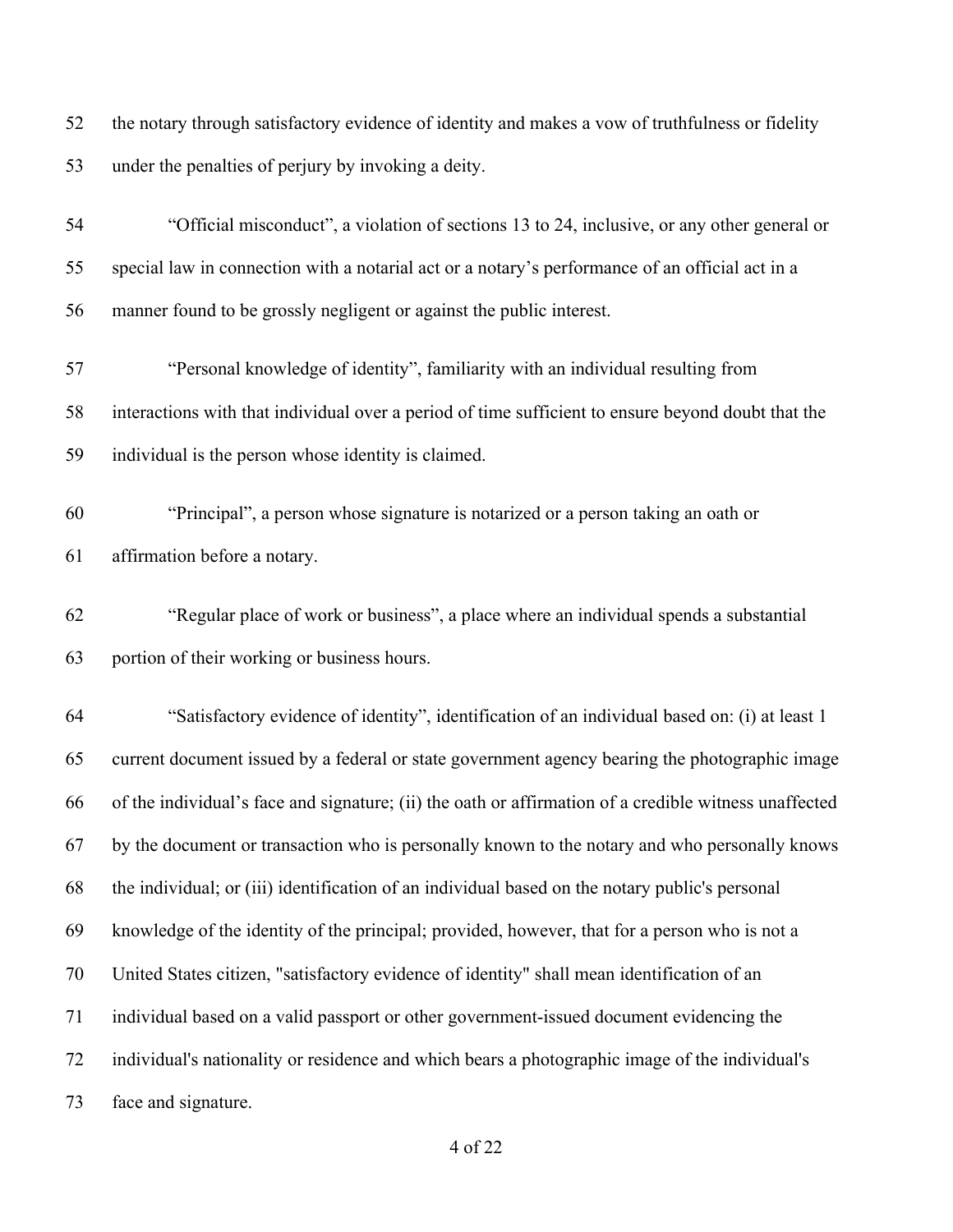the notary through satisfactory evidence of identity and makes a vow of truthfulness or fidelity under the penalties of perjury by invoking a deity.

| 54 | "Official misconduct", a violation of sections 13 to 24, inclusive, or any other general or           |
|----|-------------------------------------------------------------------------------------------------------|
| 55 | special law in connection with a notarial act or a notary's performance of an official act in a       |
| 56 | manner found to be grossly negligent or against the public interest.                                  |
| 57 | "Personal knowledge of identity", familiarity with an individual resulting from                       |
| 58 | interactions with that individual over a period of time sufficient to ensure beyond doubt that the    |
| 59 | individual is the person whose identity is claimed.                                                   |
| 60 | "Principal", a person whose signature is notarized or a person taking an oath or                      |
| 61 | affirmation before a notary.                                                                          |
| 62 | "Regular place of work or business", a place where an individual spends a substantial                 |
| 63 | portion of their working or business hours.                                                           |
| 64 | "Satisfactory evidence of identity", identification of an individual based on: (i) at least 1         |
| 65 | current document issued by a federal or state government agency bearing the photographic image        |
| 66 | of the individual's face and signature; (ii) the oath or affirmation of a credible witness unaffected |
| 67 | by the document or transaction who is personally known to the notary and who personally knows         |
| 68 | the individual; or (iii) identification of an individual based on the notary public's personal        |
| 69 | knowledge of the identity of the principal; provided, however, that for a person who is not a         |
| 70 | United States citizen, "satisfactory evidence of identity" shall mean identification of an            |
| 71 | individual based on a valid passport or other government-issued document evidencing the               |
| 72 | individual's nationality or residence and which bears a photographic image of the individual's        |
| 73 | face and signature.                                                                                   |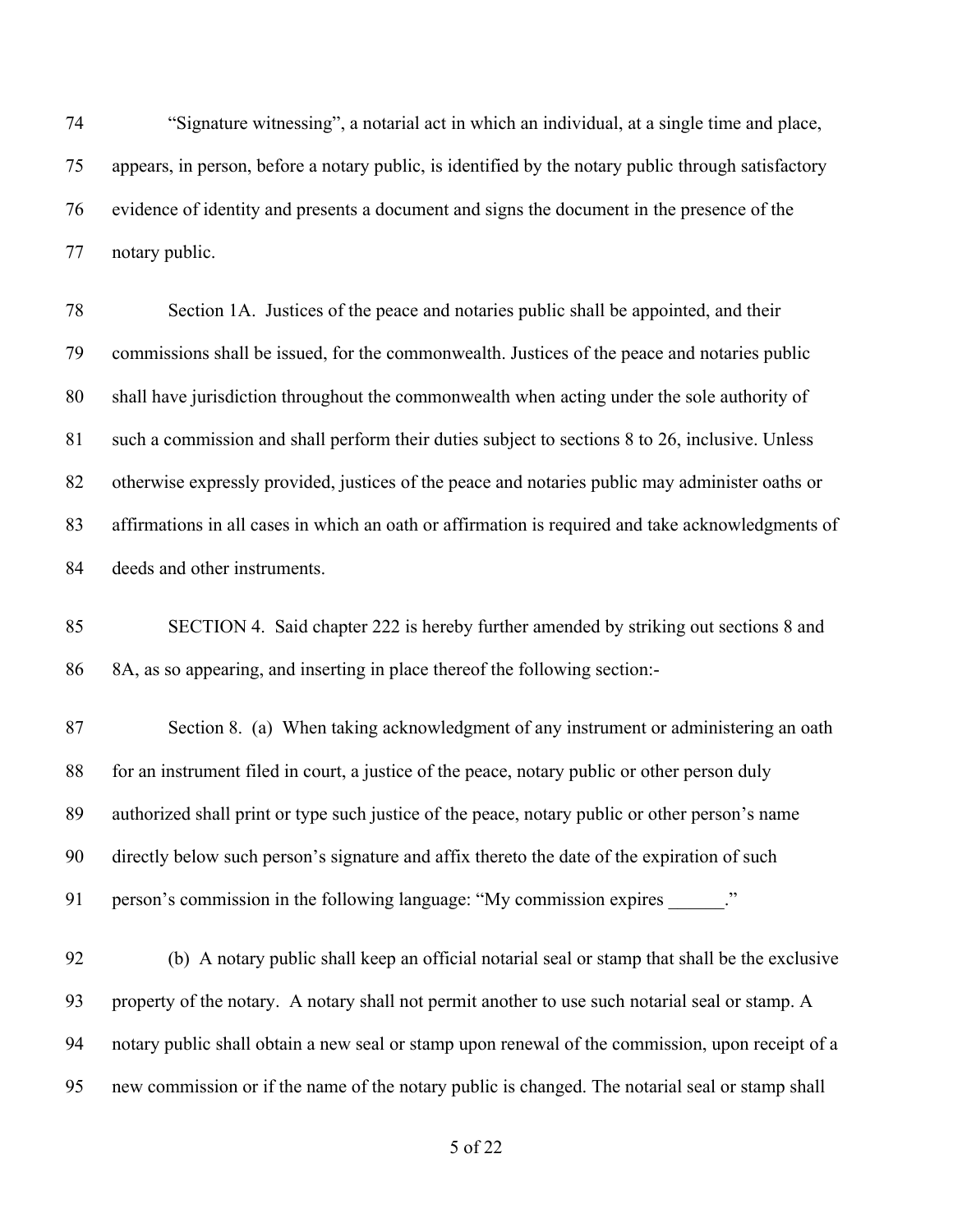"Signature witnessing", a notarial act in which an individual, at a single time and place, appears, in person, before a notary public, is identified by the notary public through satisfactory evidence of identity and presents a document and signs the document in the presence of the notary public.

 Section 1A. Justices of the peace and notaries public shall be appointed, and their commissions shall be issued, for the commonwealth. Justices of the peace and notaries public shall have jurisdiction throughout the commonwealth when acting under the sole authority of such a commission and shall perform their duties subject to sections 8 to 26, inclusive. Unless otherwise expressly provided, justices of the peace and notaries public may administer oaths or affirmations in all cases in which an oath or affirmation is required and take acknowledgments of deeds and other instruments.

 SECTION 4. Said chapter 222 is hereby further amended by striking out sections 8 and 8A, as so appearing, and inserting in place thereof the following section:-

 Section 8. (a) When taking acknowledgment of any instrument or administering an oath for an instrument filed in court, a justice of the peace, notary public or other person duly authorized shall print or type such justice of the peace, notary public or other person's name directly below such person's signature and affix thereto the date of the expiration of such 91 person's commission in the following language: "My commission expires ..."

 (b) A notary public shall keep an official notarial seal or stamp that shall be the exclusive property of the notary. A notary shall not permit another to use such notarial seal or stamp. A notary public shall obtain a new seal or stamp upon renewal of the commission, upon receipt of a new commission or if the name of the notary public is changed. The notarial seal or stamp shall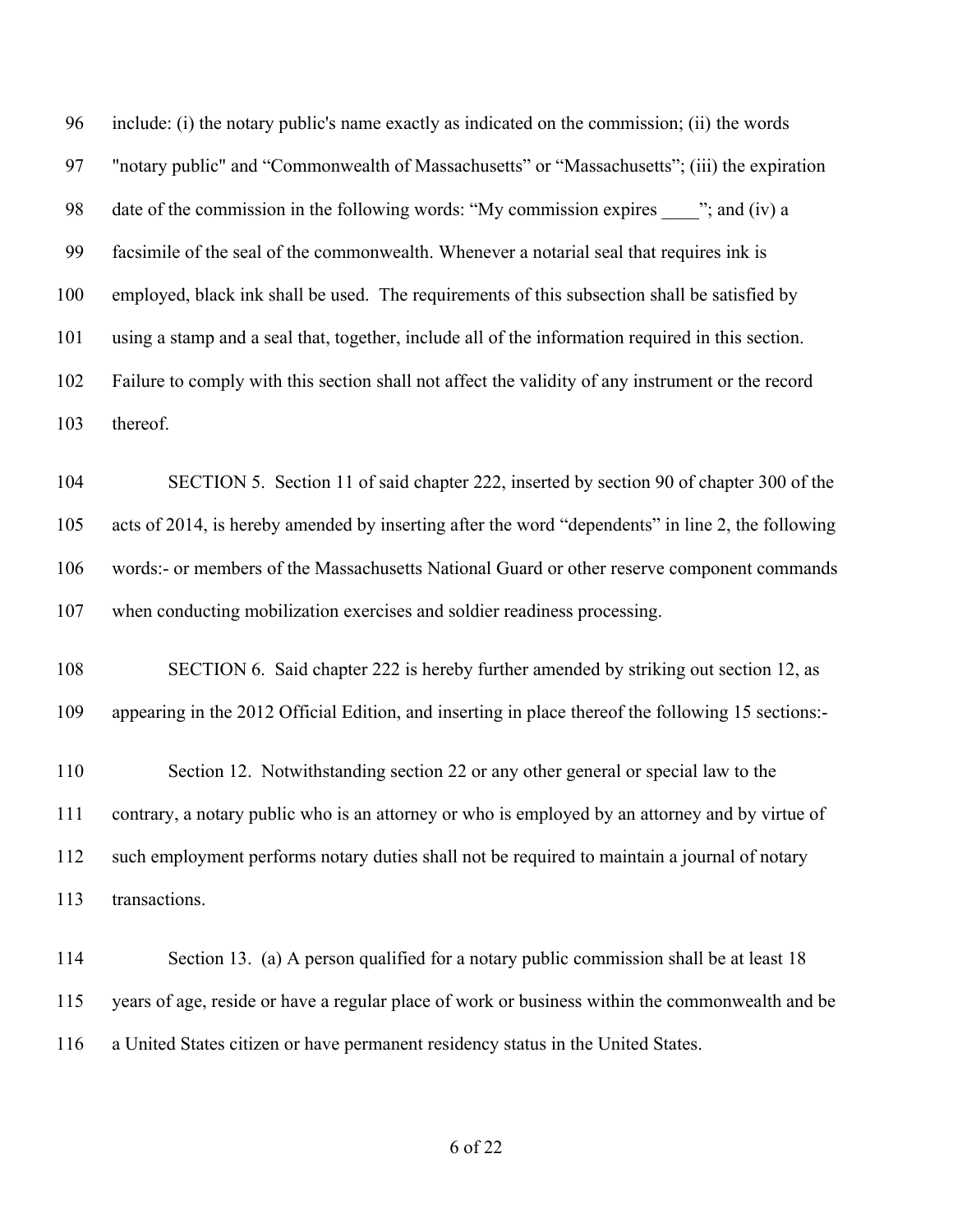include: (i) the notary public's name exactly as indicated on the commission; (ii) the words "notary public" and "Commonwealth of Massachusetts" or "Massachusetts"; (iii) the expiration 98 date of the commission in the following words: "My commission expires "; and (iv) a facsimile of the seal of the commonwealth. Whenever a notarial seal that requires ink is employed, black ink shall be used. The requirements of this subsection shall be satisfied by using a stamp and a seal that, together, include all of the information required in this section. Failure to comply with this section shall not affect the validity of any instrument or the record thereof.

 SECTION 5. Section 11 of said chapter 222, inserted by section 90 of chapter 300 of the acts of 2014, is hereby amended by inserting after the word "dependents" in line 2, the following words:- or members of the Massachusetts National Guard or other reserve component commands when conducting mobilization exercises and soldier readiness processing.

 SECTION 6. Said chapter 222 is hereby further amended by striking out section 12, as appearing in the 2012 Official Edition, and inserting in place thereof the following 15 sections:-

 Section 12. Notwithstanding section 22 or any other general or special law to the contrary, a notary public who is an attorney or who is employed by an attorney and by virtue of such employment performs notary duties shall not be required to maintain a journal of notary transactions.

114 Section 13. (a) A person qualified for a notary public commission shall be at least 18 years of age, reside or have a regular place of work or business within the commonwealth and be a United States citizen or have permanent residency status in the United States.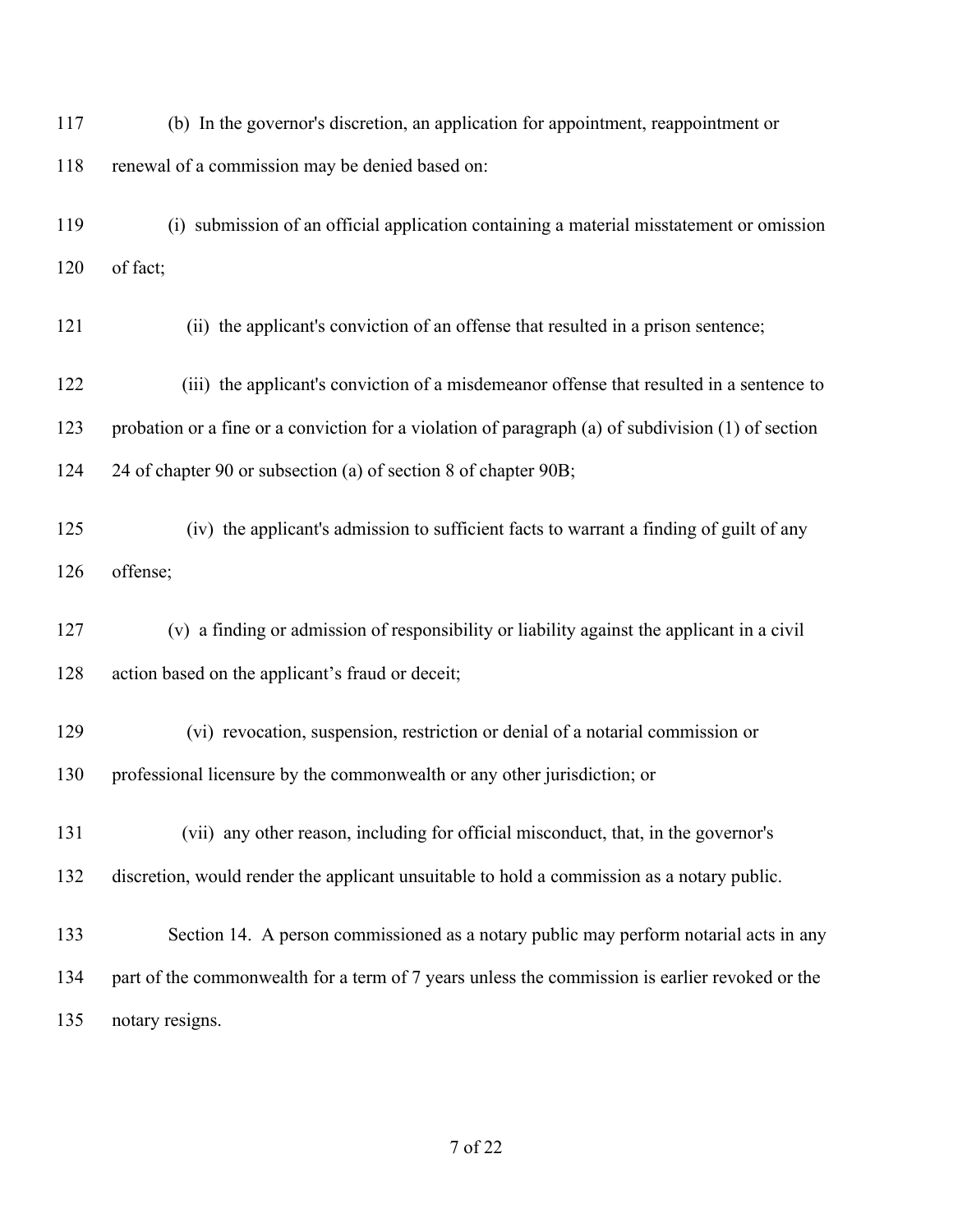(b) In the governor's discretion, an application for appointment, reappointment or renewal of a commission may be denied based on: (i) submission of an official application containing a material misstatement or omission of fact; 121 (ii) the applicant's conviction of an offense that resulted in a prison sentence; 122 (iii) the applicant's conviction of a misdemeanor offense that resulted in a sentence to probation or a fine or a conviction for a violation of paragraph (a) of subdivision (1) of section 24 of chapter 90 or subsection (a) of section 8 of chapter 90B; 125 (iv) the applicant's admission to sufficient facts to warrant a finding of guilt of any offense; (v) a finding or admission of responsibility or liability against the applicant in a civil action based on the applicant's fraud or deceit; 129 (vi) revocation, suspension, restriction or denial of a notarial commission or professional licensure by the commonwealth or any other jurisdiction; or 131 (vii) any other reason, including for official misconduct, that, in the governor's discretion, would render the applicant unsuitable to hold a commission as a notary public. Section 14. A person commissioned as a notary public may perform notarial acts in any part of the commonwealth for a term of 7 years unless the commission is earlier revoked or the notary resigns.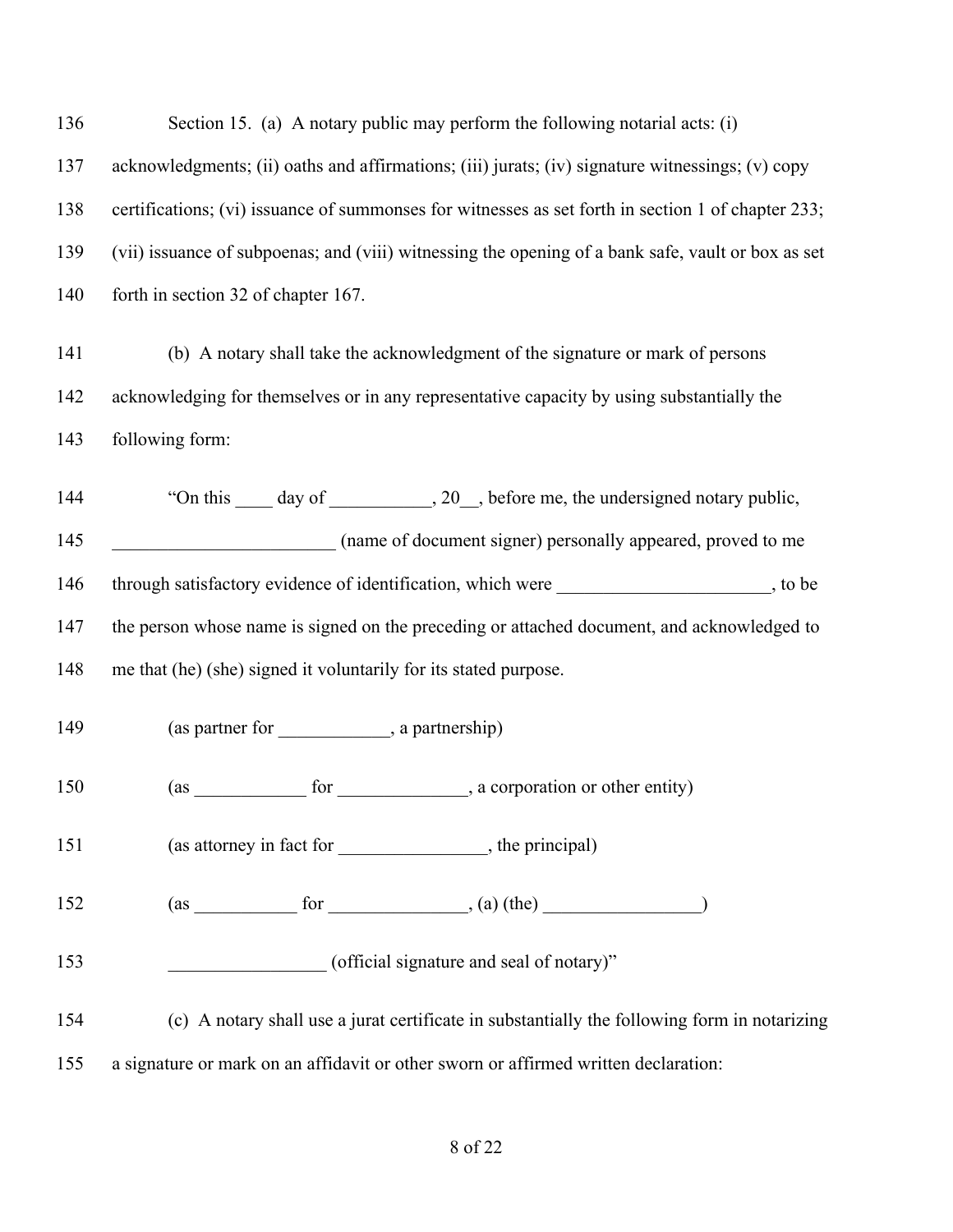| 136 | Section 15. (a) A notary public may perform the following notarial acts: (i)                       |
|-----|----------------------------------------------------------------------------------------------------|
| 137 | acknowledgments; (ii) oaths and affirmations; (iii) jurats; (iv) signature witnessings; (v) copy   |
| 138 | certifications; (vi) issuance of summonses for witnesses as set forth in section 1 of chapter 233; |
| 139 | (vii) issuance of subpoenas; and (viii) witnessing the opening of a bank safe, vault or box as set |
| 140 | forth in section 32 of chapter 167.                                                                |
| 141 | (b) A notary shall take the acknowledgment of the signature or mark of persons                     |
| 142 | acknowledging for themselves or in any representative capacity by using substantially the          |
| 143 | following form:                                                                                    |
| 144 | "On this _____ day of ____________, 20__, before me, the undersigned notary public,                |
| 145 | (name of document signer) personally appeared, proved to me                                        |
| 146 | through satisfactory evidence of identification, which were _____________________, to be           |
| 147 | the person whose name is signed on the preceding or attached document, and acknowledged to         |
| 148 | me that (he) (she) signed it voluntarily for its stated purpose.                                   |
| 149 | (as partner for ______________, a partnership)                                                     |
| 150 | (as ________________ for _________________, a corporation or other entity)                         |
| 151 | (as attorney in fact for ________________, the principal)                                          |
| 152 | $(as \_ for \_), (a) (the) \_$                                                                     |
| 153 | (official signature and seal of notary)"                                                           |
| 154 | (c) A notary shall use a jurat certificate in substantially the following form in notarizing       |
| 155 | a signature or mark on an affidavit or other sworn or affirmed written declaration:                |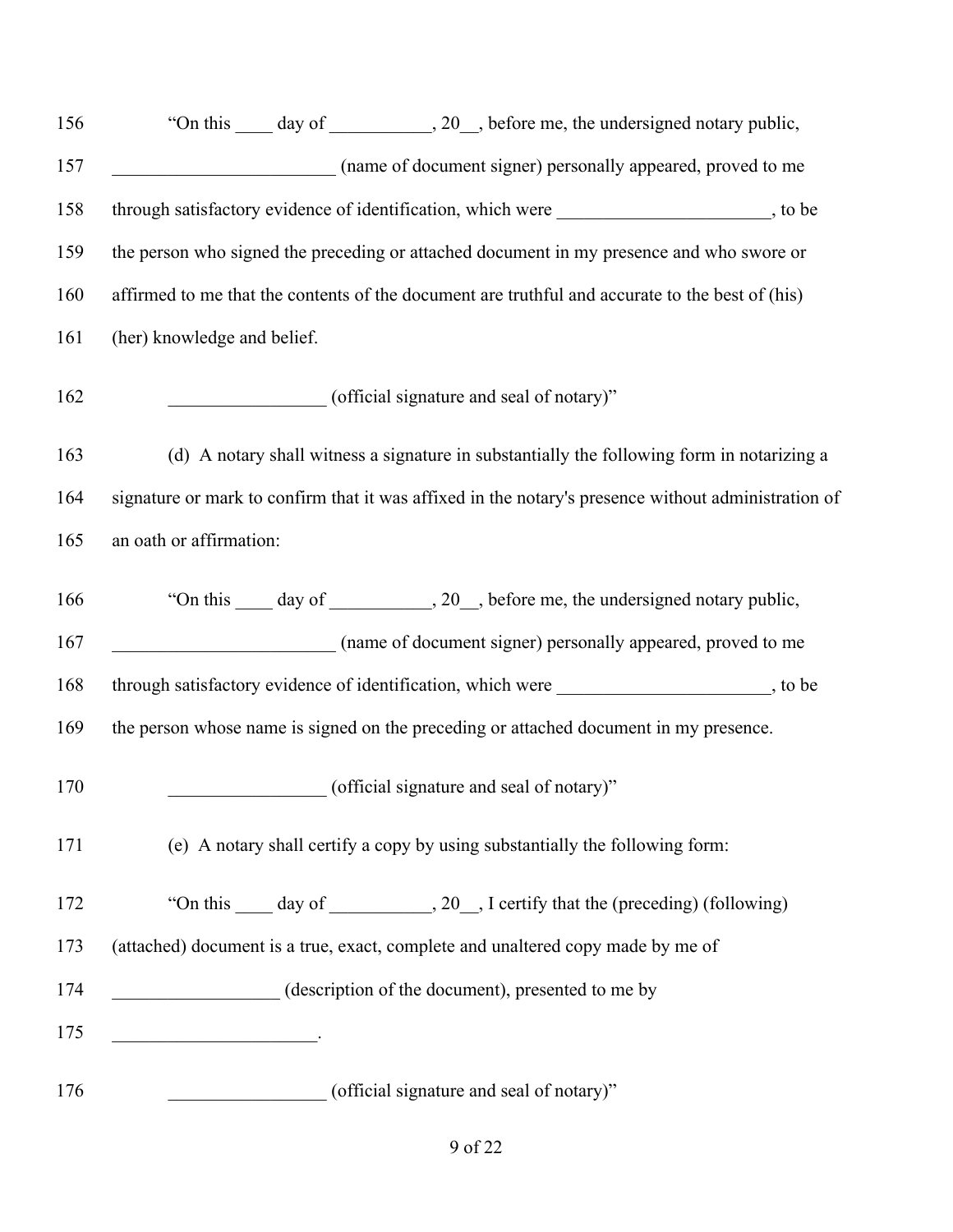| 156 | "On this _____ day of ____________, 20__, before me, the undersigned notary public,                 |
|-----|-----------------------------------------------------------------------------------------------------|
| 157 | (name of document signer) personally appeared, proved to me                                         |
| 158 | through satisfactory evidence of identification, which were ____________________, to be             |
| 159 | the person who signed the preceding or attached document in my presence and who swore or            |
| 160 | affirmed to me that the contents of the document are truthful and accurate to the best of (his)     |
| 161 | (her) knowledge and belief.                                                                         |
| 162 | (official signature and seal of notary)"                                                            |
| 163 | (d) A notary shall witness a signature in substantially the following form in notarizing a          |
| 164 | signature or mark to confirm that it was affixed in the notary's presence without administration of |
| 165 | an oath or affirmation:                                                                             |
| 166 | "On this _____ day of ____________, 20__, before me, the undersigned notary public,                 |
| 167 | (name of document signer) personally appeared, proved to me                                         |
| 168 | through satisfactory evidence of identification, which were ____________________, to be             |
| 169 | the person whose name is signed on the preceding or attached document in my presence.               |
| 170 | (official signature and seal of notary)"                                                            |
| 171 | (e) A notary shall certify a copy by using substantially the following form:                        |
| 172 | "On this _____ day of ____________, 20__, I certify that the (preceding) (following)                |
| 173 | (attached) document is a true, exact, complete and unaltered copy made by me of                     |
| 174 | (description of the document), presented to me by                                                   |
| 175 | <u> 1990 - Johann Barbara, martxa alemani</u> ar a                                                  |
| 176 | (official signature and seal of notary)"                                                            |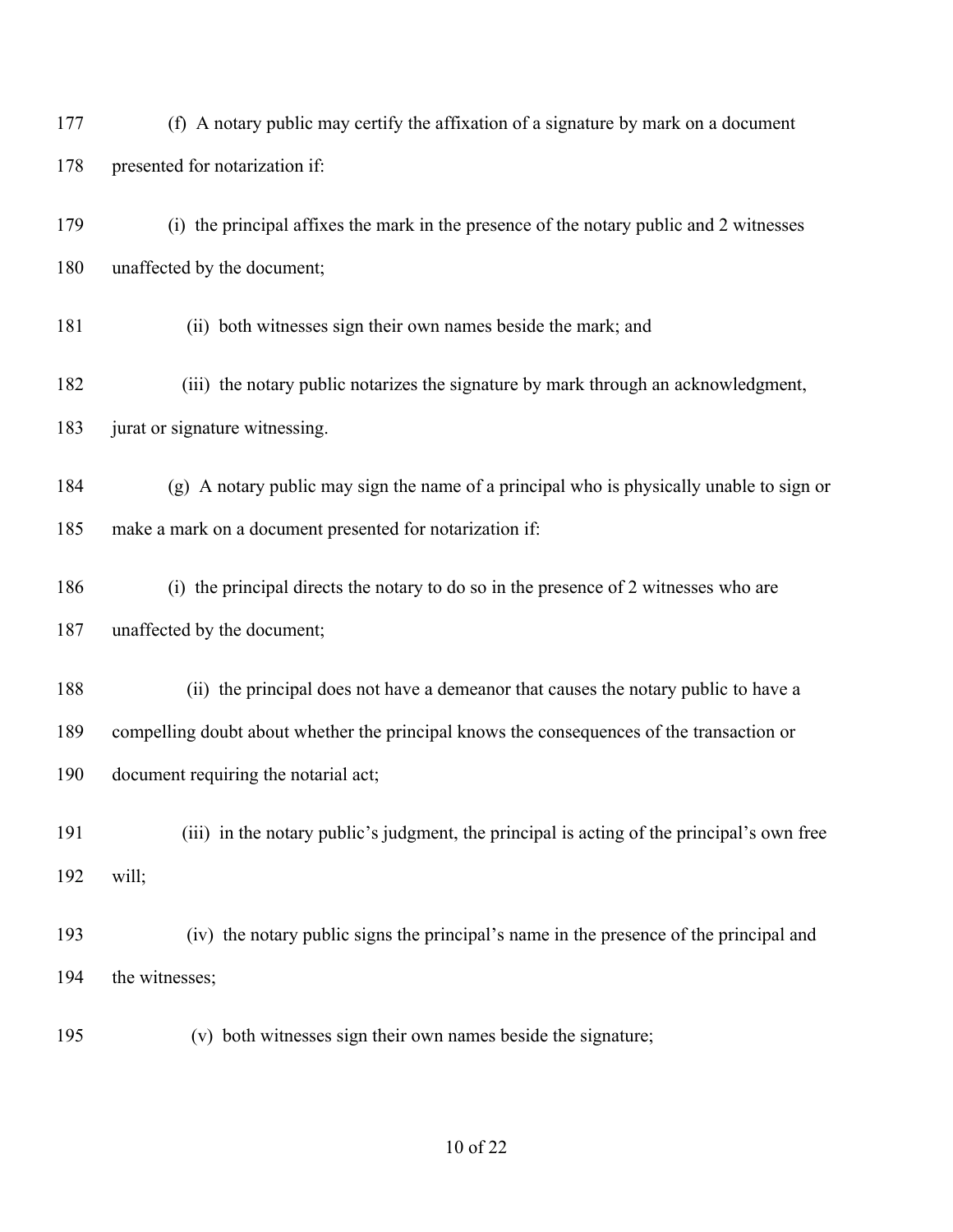| 177 | (f) A notary public may certify the affixation of a signature by mark on a document        |
|-----|--------------------------------------------------------------------------------------------|
| 178 | presented for notarization if:                                                             |
| 179 | (i) the principal affixes the mark in the presence of the notary public and 2 witnesses    |
| 180 | unaffected by the document;                                                                |
| 181 | (ii) both witnesses sign their own names beside the mark; and                              |
| 182 | (iii) the notary public notarizes the signature by mark through an acknowledgment,         |
| 183 | jurat or signature witnessing.                                                             |
| 184 | (g) A notary public may sign the name of a principal who is physically unable to sign or   |
| 185 | make a mark on a document presented for notarization if:                                   |
| 186 | (i) the principal directs the notary to do so in the presence of 2 witnesses who are       |
| 187 | unaffected by the document;                                                                |
| 188 | (ii) the principal does not have a demeanor that causes the notary public to have a        |
| 189 | compelling doubt about whether the principal knows the consequences of the transaction or  |
| 190 | document requiring the notarial act;                                                       |
| 191 | (iii) in the notary public's judgment, the principal is acting of the principal's own free |
| 192 | will;                                                                                      |
| 193 | (iv) the notary public signs the principal's name in the presence of the principal and     |
| 194 | the witnesses;                                                                             |
| 195 | (v) both witnesses sign their own names beside the signature;                              |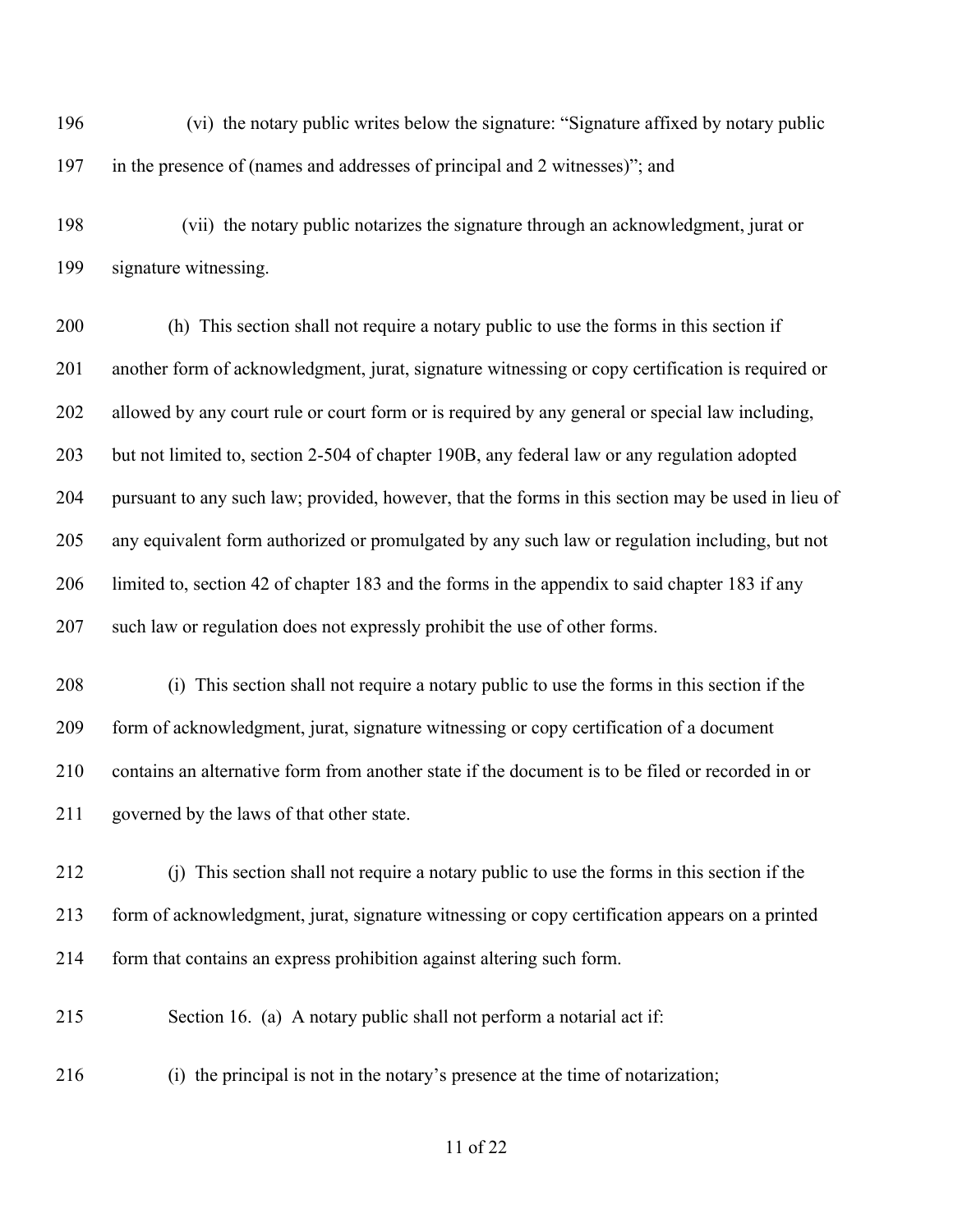196 (vi) the notary public writes below the signature: "Signature affixed by notary public in the presence of (names and addresses of principal and 2 witnesses)"; and

198 (vii) the notary public notarizes the signature through an acknowledgment, jurat or signature witnessing.

 (h) This section shall not require a notary public to use the forms in this section if another form of acknowledgment, jurat, signature witnessing or copy certification is required or allowed by any court rule or court form or is required by any general or special law including, but not limited to, section 2-504 of chapter 190B, any federal law or any regulation adopted pursuant to any such law; provided, however, that the forms in this section may be used in lieu of any equivalent form authorized or promulgated by any such law or regulation including, but not limited to, section 42 of chapter 183 and the forms in the appendix to said chapter 183 if any such law or regulation does not expressly prohibit the use of other forms.

 (i) This section shall not require a notary public to use the forms in this section if the form of acknowledgment, jurat, signature witnessing or copy certification of a document contains an alternative form from another state if the document is to be filed or recorded in or governed by the laws of that other state.

- (j) This section shall not require a notary public to use the forms in this section if the form of acknowledgment, jurat, signature witnessing or copy certification appears on a printed form that contains an express prohibition against altering such form.
- Section 16. (a) A notary public shall not perform a notarial act if:
- (i) the principal is not in the notary's presence at the time of notarization;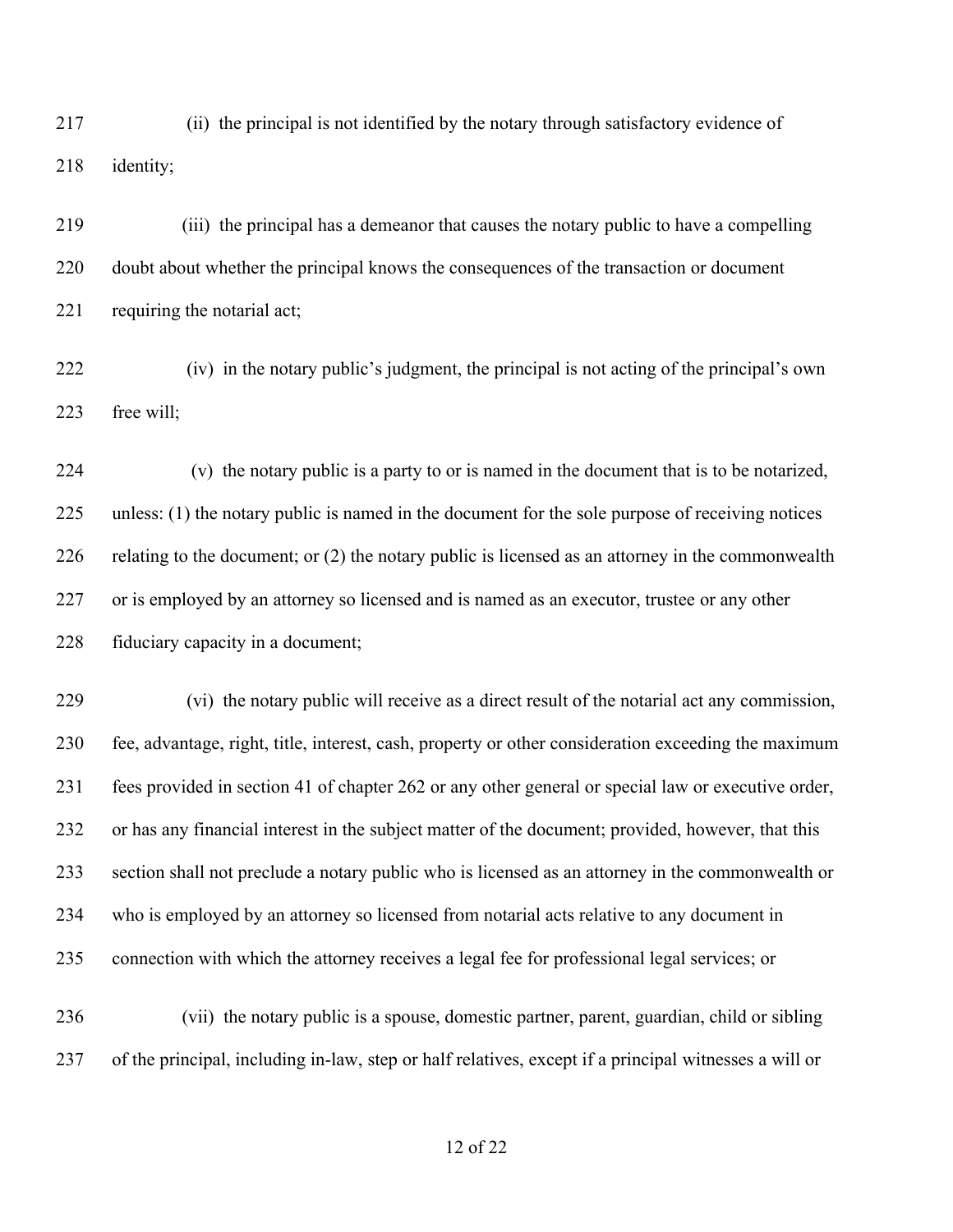217 (ii) the principal is not identified by the notary through satisfactory evidence of identity;

219 (iii) the principal has a demeanor that causes the notary public to have a compelling doubt about whether the principal knows the consequences of the transaction or document 221 requiring the notarial act;

222 (iv) in the notary public's judgment, the principal is not acting of the principal's own free will;

224 (v) the notary public is a party to or is named in the document that is to be notarized, unless: (1) the notary public is named in the document for the sole purpose of receiving notices relating to the document; or (2) the notary public is licensed as an attorney in the commonwealth or is employed by an attorney so licensed and is named as an executor, trustee or any other 228 fiduciary capacity in a document;

229 (vi) the notary public will receive as a direct result of the notarial act any commission, fee, advantage, right, title, interest, cash, property or other consideration exceeding the maximum fees provided in section 41 of chapter 262 or any other general or special law or executive order, or has any financial interest in the subject matter of the document; provided, however, that this section shall not preclude a notary public who is licensed as an attorney in the commonwealth or who is employed by an attorney so licensed from notarial acts relative to any document in connection with which the attorney receives a legal fee for professional legal services; or

236 (vii) the notary public is a spouse, domestic partner, parent, guardian, child or sibling of the principal, including in-law, step or half relatives, except if a principal witnesses a will or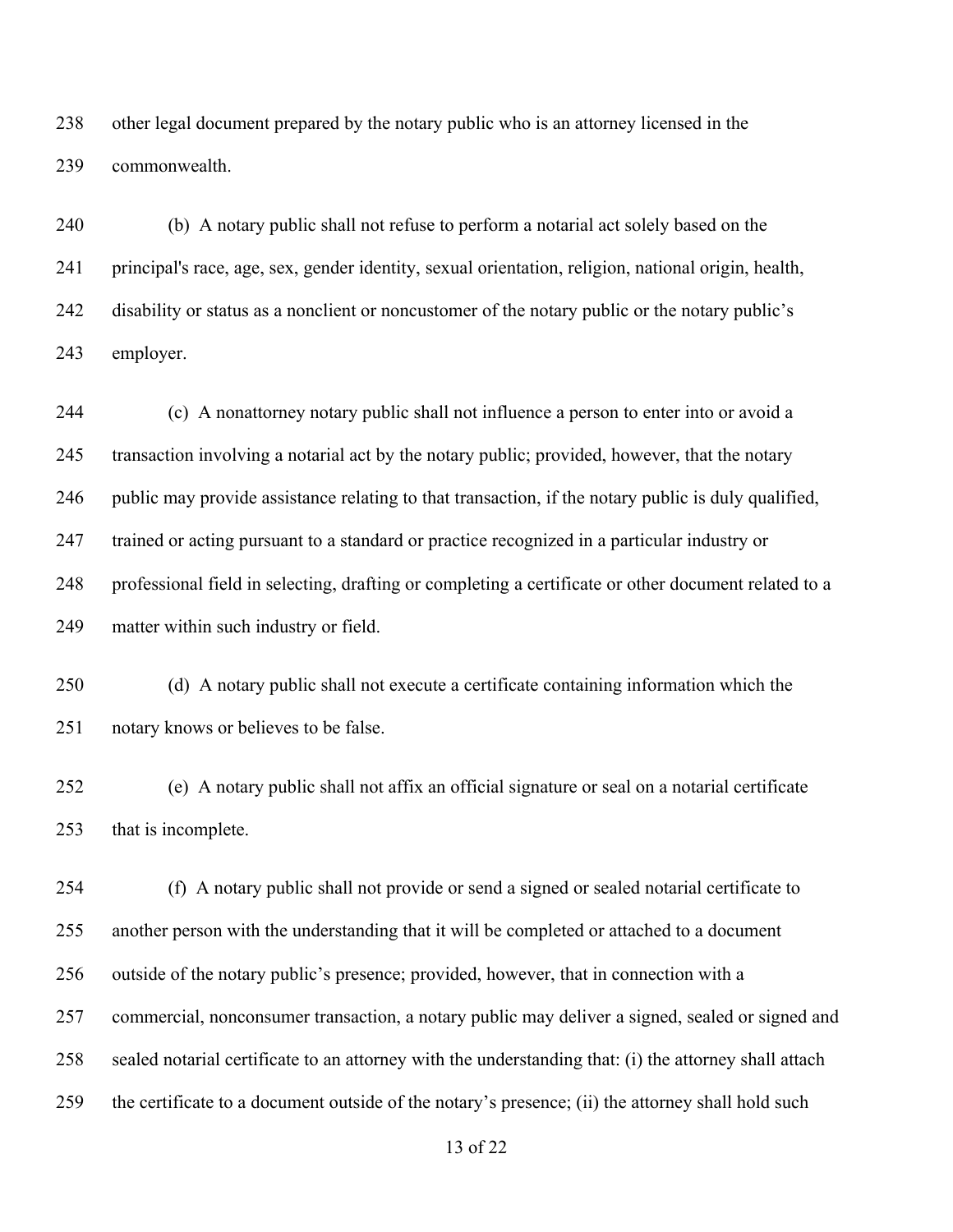other legal document prepared by the notary public who is an attorney licensed in the commonwealth.

 (b) A notary public shall not refuse to perform a notarial act solely based on the principal's race, age, sex, gender identity, sexual orientation, religion, national origin, health, 242 disability or status as a nonclient or noncustomer of the notary public or the notary public's employer.

 (c) A nonattorney notary public shall not influence a person to enter into or avoid a transaction involving a notarial act by the notary public; provided, however, that the notary public may provide assistance relating to that transaction, if the notary public is duly qualified, trained or acting pursuant to a standard or practice recognized in a particular industry or professional field in selecting, drafting or completing a certificate or other document related to a matter within such industry or field.

 (d) A notary public shall not execute a certificate containing information which the notary knows or believes to be false.

 (e) A notary public shall not affix an official signature or seal on a notarial certificate that is incomplete.

 (f) A notary public shall not provide or send a signed or sealed notarial certificate to another person with the understanding that it will be completed or attached to a document outside of the notary public's presence; provided, however, that in connection with a commercial, nonconsumer transaction, a notary public may deliver a signed, sealed or signed and sealed notarial certificate to an attorney with the understanding that: (i) the attorney shall attach the certificate to a document outside of the notary's presence; (ii) the attorney shall hold such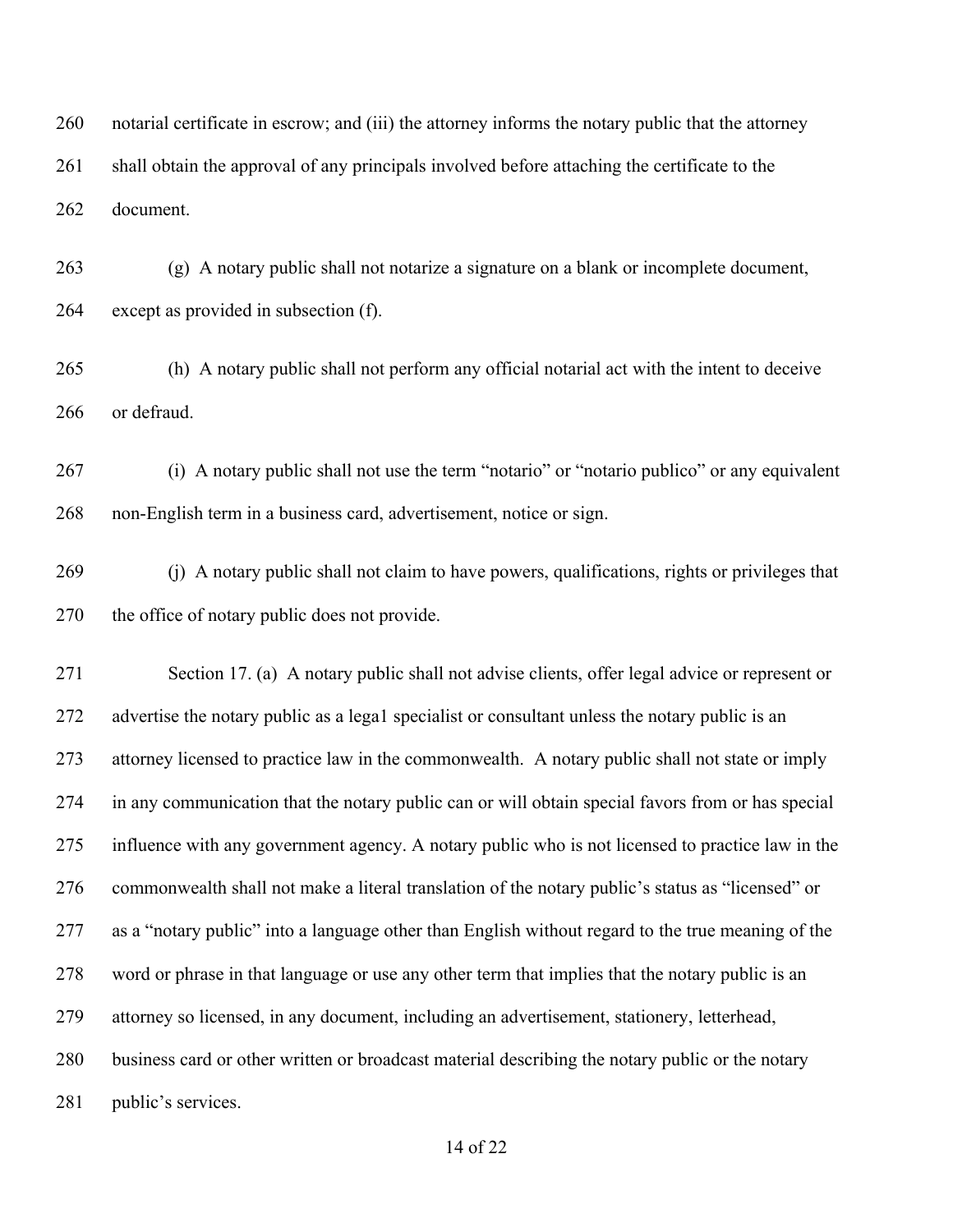notarial certificate in escrow; and (iii) the attorney informs the notary public that the attorney 261 shall obtain the approval of any principals involved before attaching the certificate to the document.

 (g) A notary public shall not notarize a signature on a blank or incomplete document, except as provided in subsection (f).

 (h) A notary public shall not perform any official notarial act with the intent to deceive or defraud.

 (i) A notary public shall not use the term "notario" or "notario publico" or any equivalent non-English term in a business card, advertisement, notice or sign.

 (j) A notary public shall not claim to have powers, qualifications, rights or privileges that the office of notary public does not provide.

 Section 17. (a) A notary public shall not advise clients, offer legal advice or represent or advertise the notary public as a lega1 specialist or consultant unless the notary public is an attorney licensed to practice law in the commonwealth. A notary public shall not state or imply in any communication that the notary public can or will obtain special favors from or has special influence with any government agency. A notary public who is not licensed to practice law in the commonwealth shall not make a literal translation of the notary public's status as "licensed" or as a "notary public" into a language other than English without regard to the true meaning of the word or phrase in that language or use any other term that implies that the notary public is an attorney so licensed, in any document, including an advertisement, stationery, letterhead, business card or other written or broadcast material describing the notary public or the notary 281 public's services.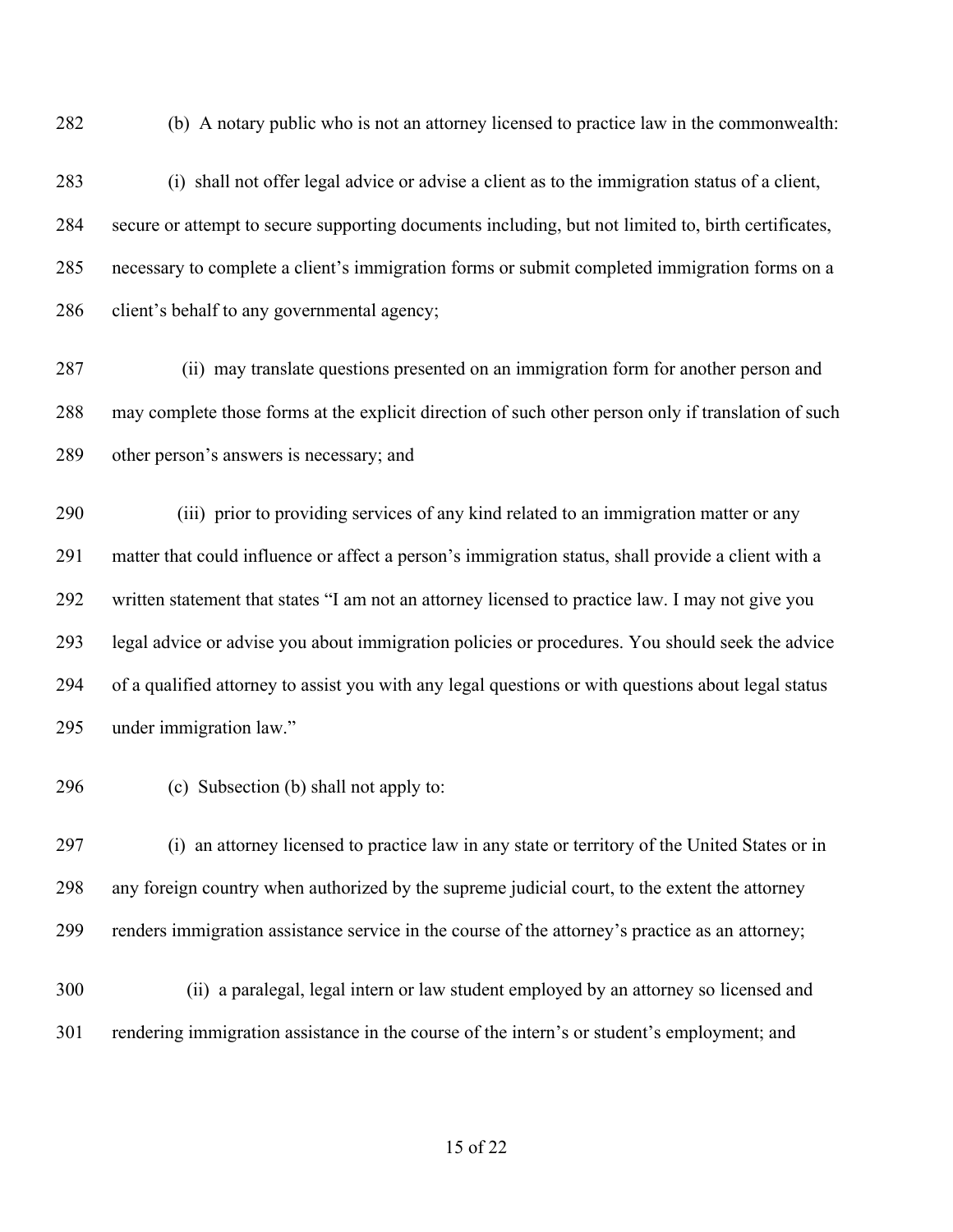(b) A notary public who is not an attorney licensed to practice law in the commonwealth:

- (i) shall not offer legal advice or advise a client as to the immigration status of a client, secure or attempt to secure supporting documents including, but not limited to, birth certificates, necessary to complete a client's immigration forms or submit completed immigration forms on a client's behalf to any governmental agency;
- 287 (ii) may translate questions presented on an immigration form for another person and may complete those forms at the explicit direction of such other person only if translation of such other person's answers is necessary; and

290 (iii) prior to providing services of any kind related to an immigration matter or any matter that could influence or affect a person's immigration status, shall provide a client with a written statement that states "I am not an attorney licensed to practice law. I may not give you legal advice or advise you about immigration policies or procedures. You should seek the advice of a qualified attorney to assist you with any legal questions or with questions about legal status under immigration law."

(c) Subsection (b) shall not apply to:

 (i) an attorney licensed to practice law in any state or territory of the United States or in any foreign country when authorized by the supreme judicial court, to the extent the attorney renders immigration assistance service in the course of the attorney's practice as an attorney;

300 (ii) a paralegal, legal intern or law student employed by an attorney so licensed and rendering immigration assistance in the course of the intern's or student's employment; and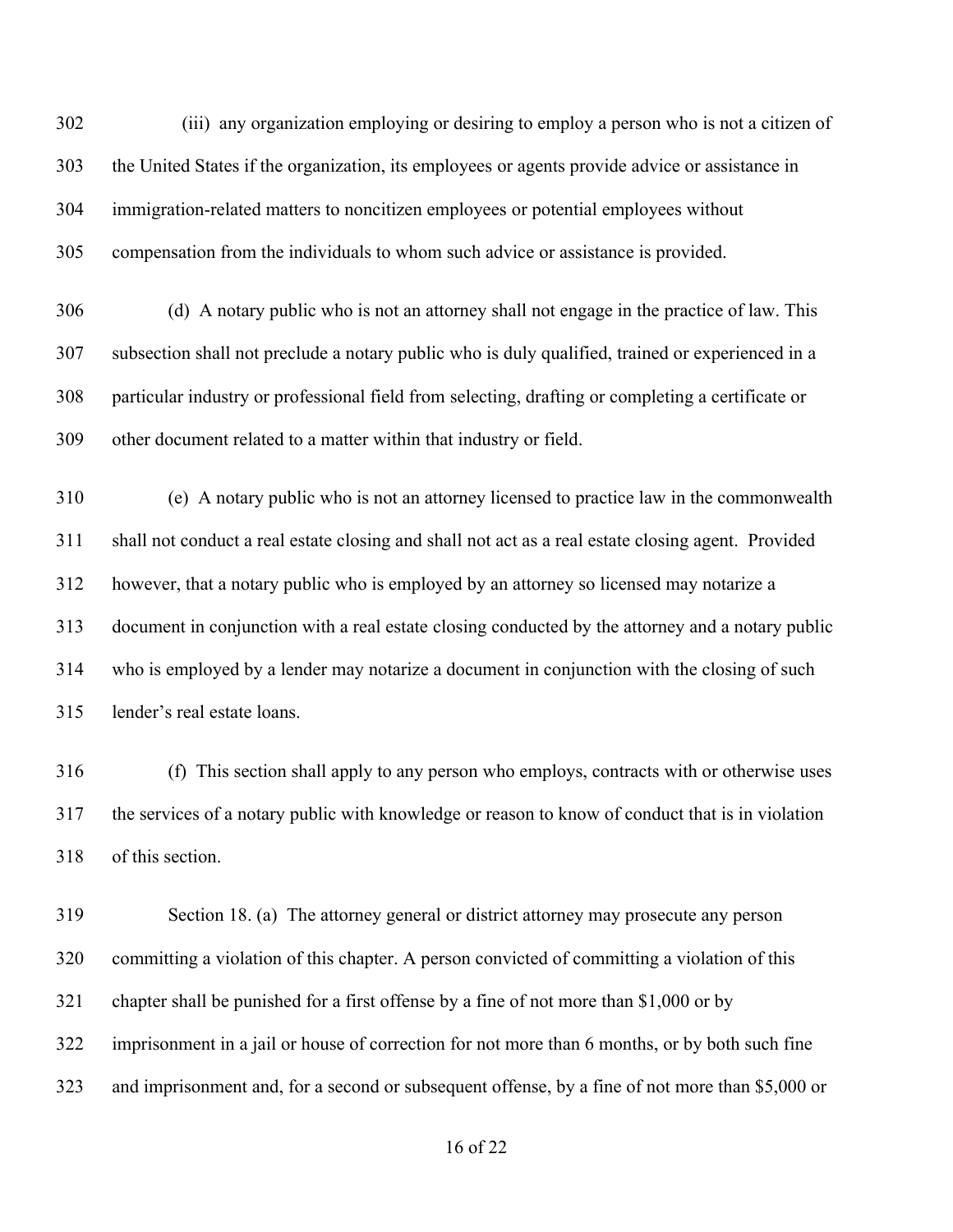302 (iii) any organization employing or desiring to employ a person who is not a citizen of the United States if the organization, its employees or agents provide advice or assistance in immigration-related matters to noncitizen employees or potential employees without compensation from the individuals to whom such advice or assistance is provided.

 (d) A notary public who is not an attorney shall not engage in the practice of law. This subsection shall not preclude a notary public who is duly qualified, trained or experienced in a particular industry or professional field from selecting, drafting or completing a certificate or other document related to a matter within that industry or field.

 (e) A notary public who is not an attorney licensed to practice law in the commonwealth shall not conduct a real estate closing and shall not act as a real estate closing agent. Provided however, that a notary public who is employed by an attorney so licensed may notarize a document in conjunction with a real estate closing conducted by the attorney and a notary public who is employed by a lender may notarize a document in conjunction with the closing of such lender's real estate loans.

 (f) This section shall apply to any person who employs, contracts with or otherwise uses the services of a notary public with knowledge or reason to know of conduct that is in violation of this section.

 Section 18. (a) The attorney general or district attorney may prosecute any person committing a violation of this chapter. A person convicted of committing a violation of this chapter shall be punished for a first offense by a fine of not more than \$1,000 or by imprisonment in a jail or house of correction for not more than 6 months, or by both such fine and imprisonment and, for a second or subsequent offense, by a fine of not more than \$5,000 or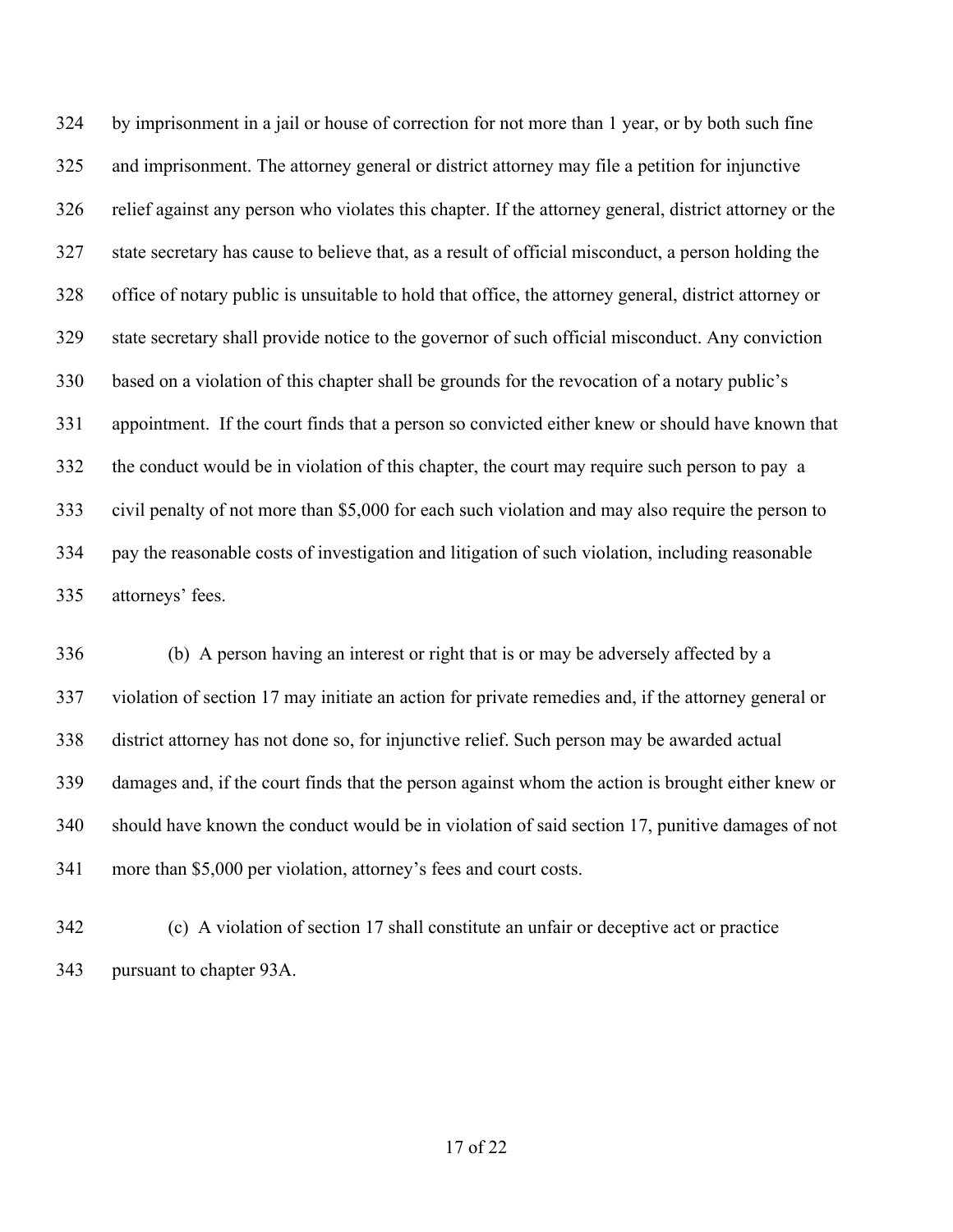by imprisonment in a jail or house of correction for not more than 1 year, or by both such fine and imprisonment. The attorney general or district attorney may file a petition for injunctive relief against any person who violates this chapter. If the attorney general, district attorney or the state secretary has cause to believe that, as a result of official misconduct, a person holding the office of notary public is unsuitable to hold that office, the attorney general, district attorney or state secretary shall provide notice to the governor of such official misconduct. Any conviction based on a violation of this chapter shall be grounds for the revocation of a notary public's appointment. If the court finds that a person so convicted either knew or should have known that the conduct would be in violation of this chapter, the court may require such person to pay a civil penalty of not more than \$5,000 for each such violation and may also require the person to pay the reasonable costs of investigation and litigation of such violation, including reasonable attorneys' fees.

 (b) A person having an interest or right that is or may be adversely affected by a violation of section 17 may initiate an action for private remedies and, if the attorney general or district attorney has not done so, for injunctive relief. Such person may be awarded actual damages and, if the court finds that the person against whom the action is brought either knew or should have known the conduct would be in violation of said section 17, punitive damages of not more than \$5,000 per violation, attorney's fees and court costs.

 (c) A violation of section 17 shall constitute an unfair or deceptive act or practice pursuant to chapter 93A.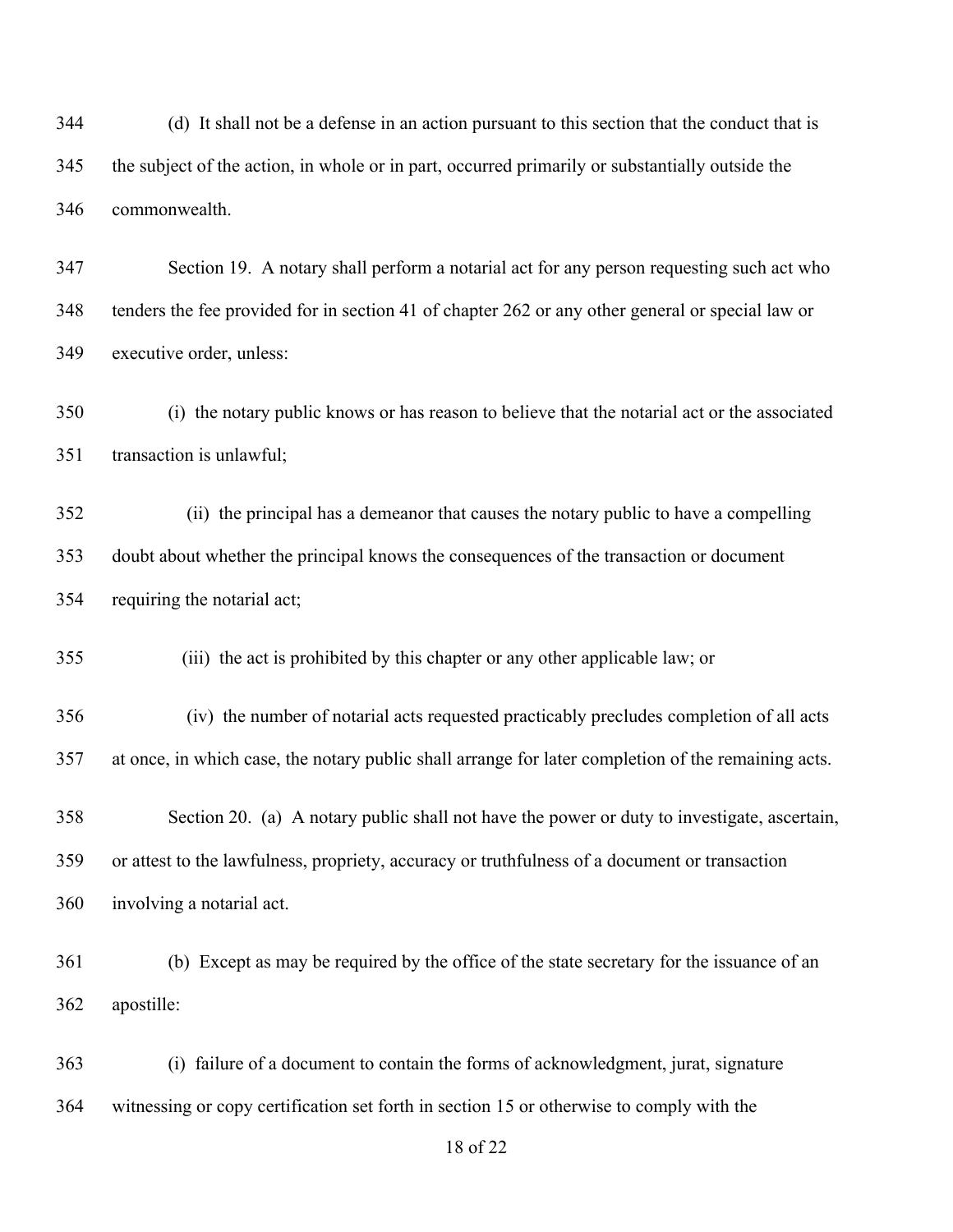(d) It shall not be a defense in an action pursuant to this section that the conduct that is the subject of the action, in whole or in part, occurred primarily or substantially outside the commonwealth.

 Section 19. A notary shall perform a notarial act for any person requesting such act who tenders the fee provided for in section 41 of chapter 262 or any other general or special law or executive order, unless:

 (i) the notary public knows or has reason to believe that the notarial act or the associated transaction is unlawful;

352 (ii) the principal has a demeanor that causes the notary public to have a compelling doubt about whether the principal knows the consequences of the transaction or document requiring the notarial act;

355 (iii) the act is prohibited by this chapter or any other applicable law; or

356 (iv) the number of notarial acts requested practicably precludes completion of all acts at once, in which case, the notary public shall arrange for later completion of the remaining acts.

 Section 20. (a) A notary public shall not have the power or duty to investigate, ascertain, or attest to the lawfulness, propriety, accuracy or truthfulness of a document or transaction involving a notarial act.

 (b) Except as may be required by the office of the state secretary for the issuance of an apostille:

 (i) failure of a document to contain the forms of acknowledgment, jurat, signature witnessing or copy certification set forth in section 15 or otherwise to comply with the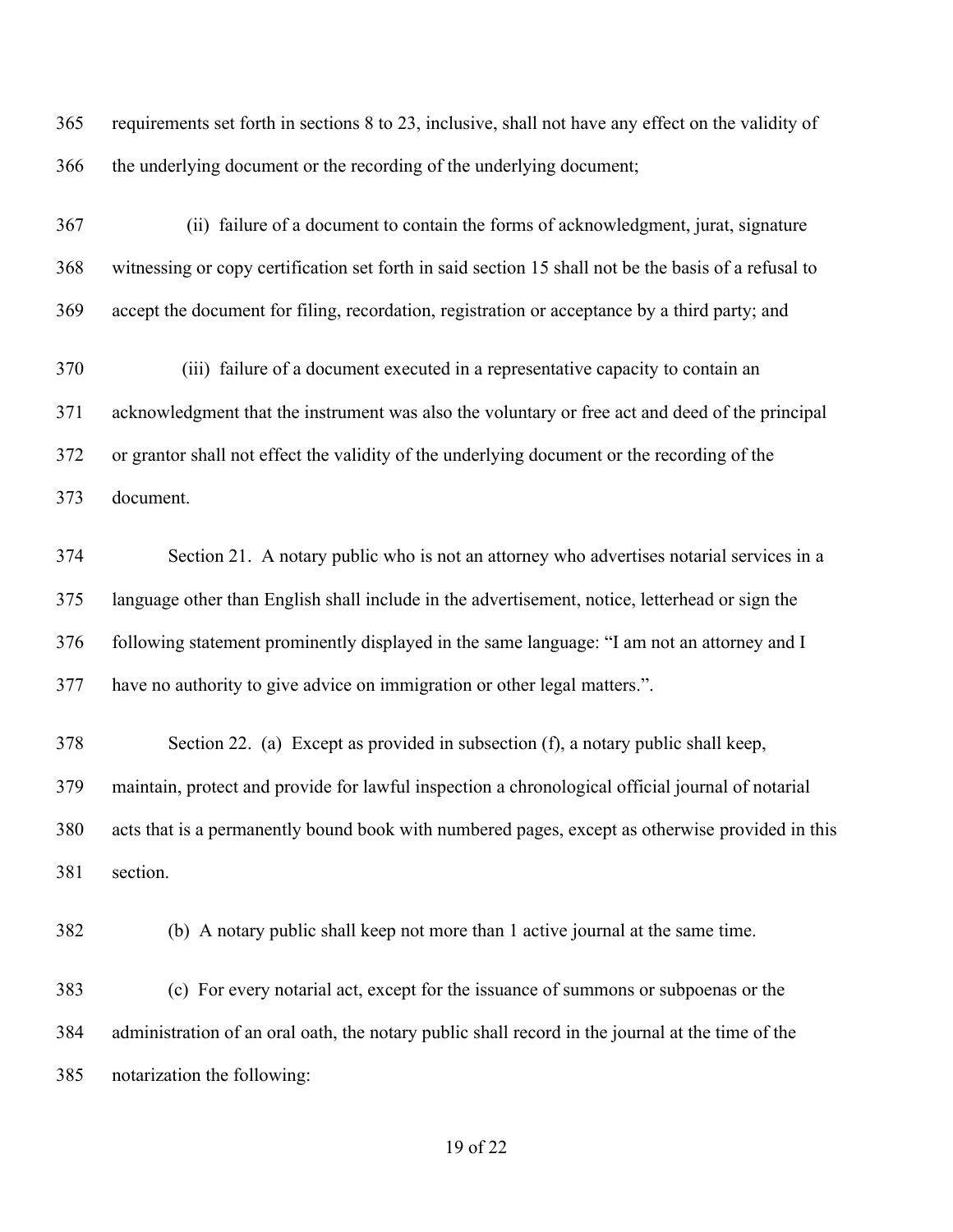| 365 | requirements set forth in sections 8 to 23, inclusive, shall not have any effect on the validity of  |
|-----|------------------------------------------------------------------------------------------------------|
| 366 | the underlying document or the recording of the underlying document;                                 |
| 367 | (ii) failure of a document to contain the forms of acknowledgment, jurat, signature                  |
| 368 | witnessing or copy certification set forth in said section 15 shall not be the basis of a refusal to |
| 369 | accept the document for filing, recordation, registration or acceptance by a third party; and        |
| 370 | (iii) failure of a document executed in a representative capacity to contain an                      |
| 371 | acknowledgment that the instrument was also the voluntary or free act and deed of the principal      |
| 372 | or grantor shall not effect the validity of the underlying document or the recording of the          |
| 373 | document.                                                                                            |
| 374 | Section 21. A notary public who is not an attorney who advertises notarial services in a             |
| 375 | language other than English shall include in the advertisement, notice, letterhead or sign the       |
| 376 | following statement prominently displayed in the same language: "I am not an attorney and I          |
| 377 | have no authority to give advice on immigration or other legal matters.".                            |
| 378 | Section 22. (a) Except as provided in subsection (f), a notary public shall keep,                    |
| 379 | maintain, protect and provide for lawful inspection a chronological official journal of notarial     |
| 380 | acts that is a permanently bound book with numbered pages, except as otherwise provided in this      |
| 381 | section.                                                                                             |
| 382 | (b) A notary public shall keep not more than 1 active journal at the same time.                      |
| 383 | (c) For every notarial act, except for the issuance of summons or subpoenas or the                   |
| 384 | administration of an oral oath, the notary public shall record in the journal at the time of the     |
| 385 | notarization the following:                                                                          |
|     |                                                                                                      |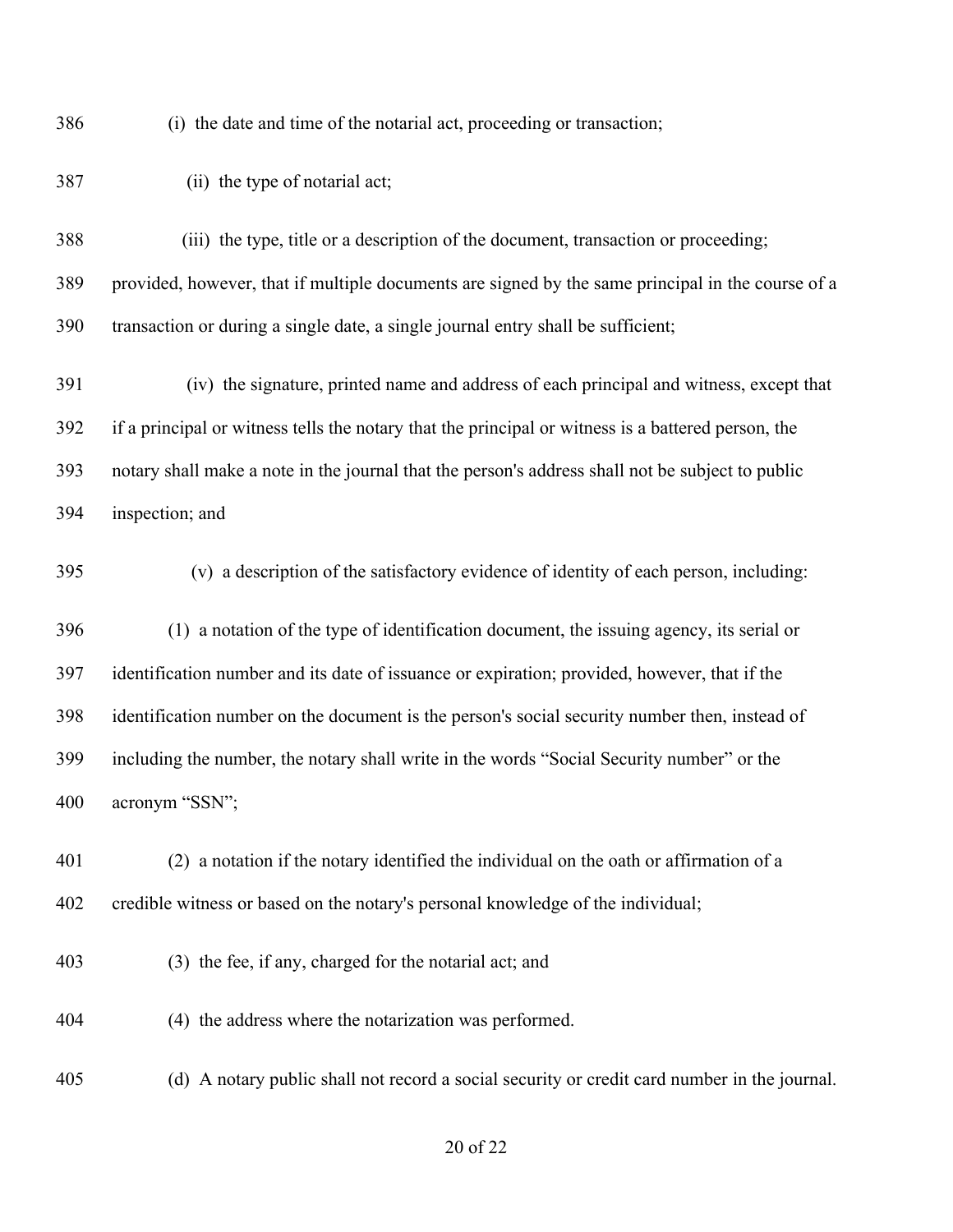(i) the date and time of the notarial act, proceeding or transaction;

387 (ii) the type of notarial act; 388 (iii) the type, title or a description of the document, transaction or proceeding; provided, however, that if multiple documents are signed by the same principal in the course of a transaction or during a single date, a single journal entry shall be sufficient; 391 (iv) the signature, printed name and address of each principal and witness, except that if a principal or witness tells the notary that the principal or witness is a battered person, the notary shall make a note in the journal that the person's address shall not be subject to public inspection; and 395 (v) a description of the satisfactory evidence of identity of each person, including: (1) a notation of the type of identification document, the issuing agency, its serial or identification number and its date of issuance or expiration; provided, however, that if the identification number on the document is the person's social security number then, instead of including the number, the notary shall write in the words "Social Security number" or the acronym "SSN";

 (2) a notation if the notary identified the individual on the oath or affirmation of a credible witness or based on the notary's personal knowledge of the individual;

- (3) the fee, if any, charged for the notarial act; and
- (4) the address where the notarization was performed.

(d) A notary public shall not record a social security or credit card number in the journal.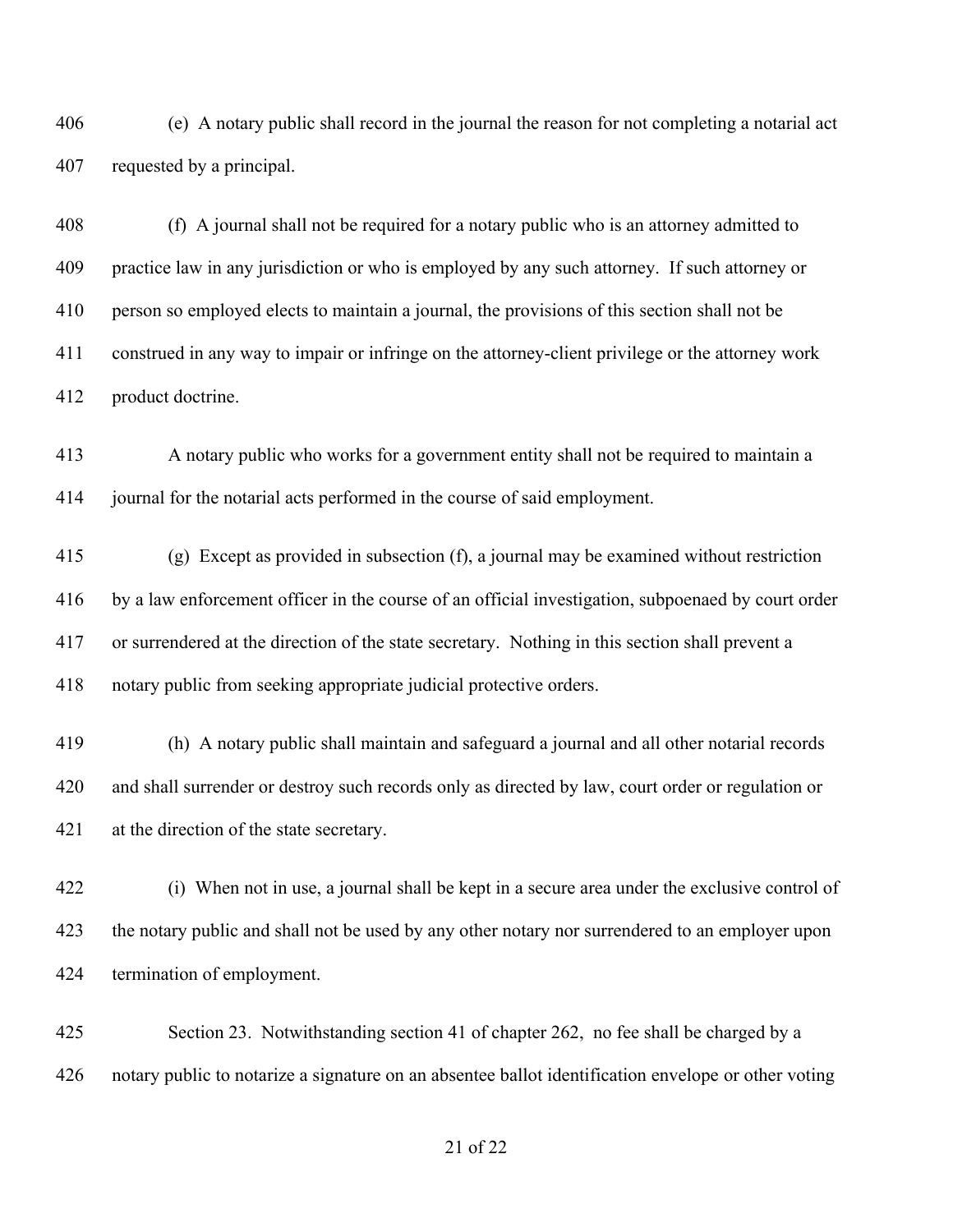(e) A notary public shall record in the journal the reason for not completing a notarial act requested by a principal.

 (f) A journal shall not be required for a notary public who is an attorney admitted to practice law in any jurisdiction or who is employed by any such attorney. If such attorney or person so employed elects to maintain a journal, the provisions of this section shall not be construed in any way to impair or infringe on the attorney-client privilege or the attorney work product doctrine.

 A notary public who works for a government entity shall not be required to maintain a journal for the notarial acts performed in the course of said employment.

 (g) Except as provided in subsection (f), a journal may be examined without restriction by a law enforcement officer in the course of an official investigation, subpoenaed by court order or surrendered at the direction of the state secretary. Nothing in this section shall prevent a notary public from seeking appropriate judicial protective orders.

 (h) A notary public shall maintain and safeguard a journal and all other notarial records and shall surrender or destroy such records only as directed by law, court order or regulation or at the direction of the state secretary.

 (i) When not in use, a journal shall be kept in a secure area under the exclusive control of 423 the notary public and shall not be used by any other notary nor surrendered to an employer upon termination of employment.

 Section 23. Notwithstanding section 41 of chapter 262, no fee shall be charged by a notary public to notarize a signature on an absentee ballot identification envelope or other voting